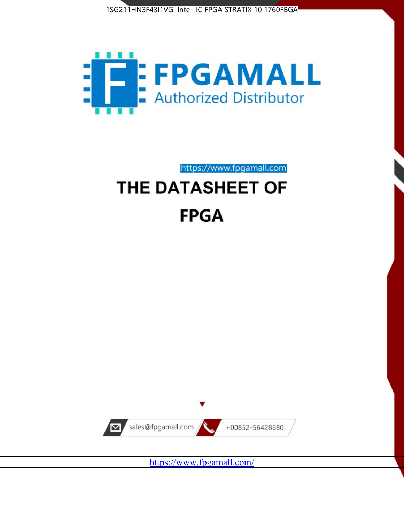



https://www.fpgamall.com

# THE DATASHEET OF **FPGA**



<https://www.fpgamall.com/>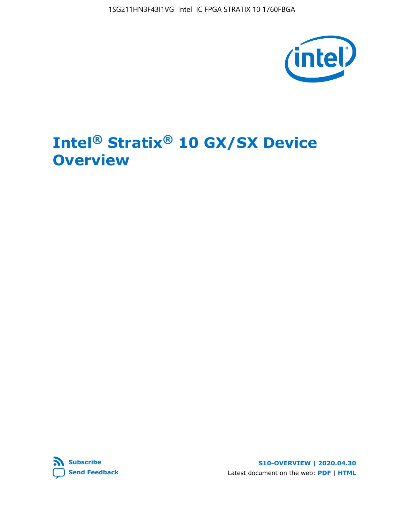1SG211HN3F43I1VG Intel IC FPGA STRATIX 10 1760FBGA



# **Intel® Stratix® 10 GX/SX Device Overview**



**S10-OVERVIEW | 2020.04.30** Latest document on the web: **[PDF](https://www.intel.com/content/dam/www/programmable/us/en/pdfs/literature/hb/stratix-10/s10-overview.pdf)** | **[HTML](https://www.intel.com/content/www/us/en/programmable/documentation/joc1442261161666.html)**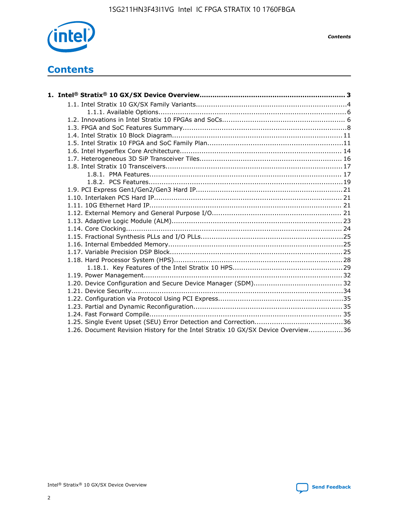

*Contents*

# **Contents**

| 1.26. Document Revision History for the Intel Stratix 10 GX/SX Device Overview36 |  |
|----------------------------------------------------------------------------------|--|

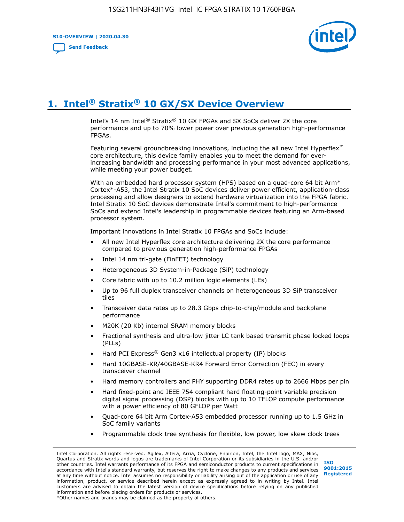**S10-OVERVIEW | 2020.04.30**

**[Send Feedback](mailto:FPGAtechdocfeedback@intel.com?subject=Feedback%20on%20Intel%20Stratix%2010%20GX/SX%20Device%20Overview%20(S10-OVERVIEW%202020.04.30)&body=We%20appreciate%20your%20feedback.%20In%20your%20comments,%20also%20specify%20the%20page%20number%20or%20paragraph.%20Thank%20you.)**



# **1. Intel® Stratix® 10 GX/SX Device Overview**

Intel's 14 nm Intel® Stratix® 10 GX FPGAs and SX SoCs deliver 2X the core performance and up to 70% lower power over previous generation high-performance FPGAs.

Featuring several groundbreaking innovations, including the all new Intel Hyperflex™ core architecture, this device family enables you to meet the demand for everincreasing bandwidth and processing performance in your most advanced applications, while meeting your power budget.

With an embedded hard processor system (HPS) based on a quad-core 64 bit Arm\* Cortex\*-A53, the Intel Stratix 10 SoC devices deliver power efficient, application-class processing and allow designers to extend hardware virtualization into the FPGA fabric. Intel Stratix 10 SoC devices demonstrate Intel's commitment to high-performance SoCs and extend Intel's leadership in programmable devices featuring an Arm-based processor system.

Important innovations in Intel Stratix 10 FPGAs and SoCs include:

- All new Intel Hyperflex core architecture delivering 2X the core performance compared to previous generation high-performance FPGAs
- Intel 14 nm tri-gate (FinFET) technology
- Heterogeneous 3D System-in-Package (SiP) technology
- Core fabric with up to 10.2 million logic elements (LEs)
- Up to 96 full duplex transceiver channels on heterogeneous 3D SiP transceiver tiles
- Transceiver data rates up to 28.3 Gbps chip-to-chip/module and backplane performance
- M20K (20 Kb) internal SRAM memory blocks
- Fractional synthesis and ultra-low jitter LC tank based transmit phase locked loops (PLLs)
- Hard PCI Express<sup>®</sup> Gen3 x16 intellectual property (IP) blocks
- Hard 10GBASE-KR/40GBASE-KR4 Forward Error Correction (FEC) in every transceiver channel
- Hard memory controllers and PHY supporting DDR4 rates up to 2666 Mbps per pin
- Hard fixed-point and IEEE 754 compliant hard floating-point variable precision digital signal processing (DSP) blocks with up to 10 TFLOP compute performance with a power efficiency of 80 GFLOP per Watt
- Quad-core 64 bit Arm Cortex-A53 embedded processor running up to 1.5 GHz in SoC family variants
- Programmable clock tree synthesis for flexible, low power, low skew clock trees

Intel Corporation. All rights reserved. Agilex, Altera, Arria, Cyclone, Enpirion, Intel, the Intel logo, MAX, Nios, Quartus and Stratix words and logos are trademarks of Intel Corporation or its subsidiaries in the U.S. and/or other countries. Intel warrants performance of its FPGA and semiconductor products to current specifications in accordance with Intel's standard warranty, but reserves the right to make changes to any products and services at any time without notice. Intel assumes no responsibility or liability arising out of the application or use of any information, product, or service described herein except as expressly agreed to in writing by Intel. Intel customers are advised to obtain the latest version of device specifications before relying on any published information and before placing orders for products or services. \*Other names and brands may be claimed as the property of others.

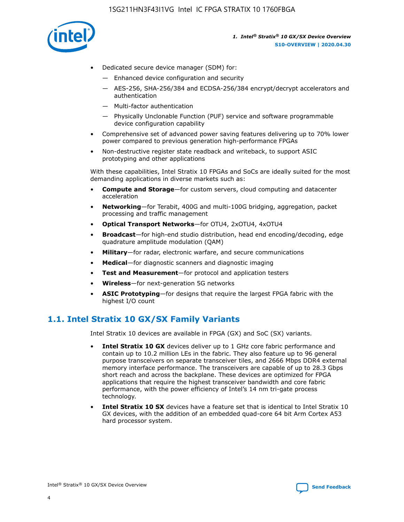

- Dedicated secure device manager (SDM) for:
	- Enhanced device configuration and security
	- AES-256, SHA-256/384 and ECDSA-256/384 encrypt/decrypt accelerators and authentication
	- Multi-factor authentication
	- Physically Unclonable Function (PUF) service and software programmable device configuration capability
- Comprehensive set of advanced power saving features delivering up to 70% lower power compared to previous generation high-performance FPGAs
- Non-destructive register state readback and writeback, to support ASIC prototyping and other applications

With these capabilities, Intel Stratix 10 FPGAs and SoCs are ideally suited for the most demanding applications in diverse markets such as:

- **Compute and Storage**—for custom servers, cloud computing and datacenter acceleration
- **Networking**—for Terabit, 400G and multi-100G bridging, aggregation, packet processing and traffic management
- **Optical Transport Networks**—for OTU4, 2xOTU4, 4xOTU4
- **Broadcast**—for high-end studio distribution, head end encoding/decoding, edge quadrature amplitude modulation (QAM)
- **Military**—for radar, electronic warfare, and secure communications
- **Medical**—for diagnostic scanners and diagnostic imaging
- **Test and Measurement**—for protocol and application testers
- **Wireless**—for next-generation 5G networks
- **ASIC Prototyping**—for designs that require the largest FPGA fabric with the highest I/O count

## **1.1. Intel Stratix 10 GX/SX Family Variants**

Intel Stratix 10 devices are available in FPGA (GX) and SoC (SX) variants.

- **Intel Stratix 10 GX** devices deliver up to 1 GHz core fabric performance and contain up to 10.2 million LEs in the fabric. They also feature up to 96 general purpose transceivers on separate transceiver tiles, and 2666 Mbps DDR4 external memory interface performance. The transceivers are capable of up to 28.3 Gbps short reach and across the backplane. These devices are optimized for FPGA applications that require the highest transceiver bandwidth and core fabric performance, with the power efficiency of Intel's 14 nm tri-gate process technology.
- **Intel Stratix 10 SX** devices have a feature set that is identical to Intel Stratix 10 GX devices, with the addition of an embedded quad-core 64 bit Arm Cortex A53 hard processor system.

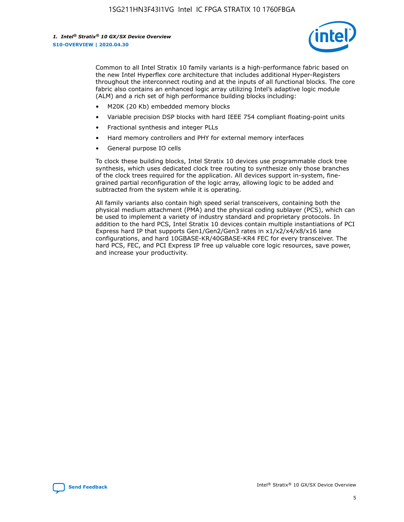

Common to all Intel Stratix 10 family variants is a high-performance fabric based on the new Intel Hyperflex core architecture that includes additional Hyper-Registers throughout the interconnect routing and at the inputs of all functional blocks. The core fabric also contains an enhanced logic array utilizing Intel's adaptive logic module (ALM) and a rich set of high performance building blocks including:

- M20K (20 Kb) embedded memory blocks
- Variable precision DSP blocks with hard IEEE 754 compliant floating-point units
- Fractional synthesis and integer PLLs
- Hard memory controllers and PHY for external memory interfaces
- General purpose IO cells

To clock these building blocks, Intel Stratix 10 devices use programmable clock tree synthesis, which uses dedicated clock tree routing to synthesize only those branches of the clock trees required for the application. All devices support in-system, finegrained partial reconfiguration of the logic array, allowing logic to be added and subtracted from the system while it is operating.

All family variants also contain high speed serial transceivers, containing both the physical medium attachment (PMA) and the physical coding sublayer (PCS), which can be used to implement a variety of industry standard and proprietary protocols. In addition to the hard PCS, Intel Stratix 10 devices contain multiple instantiations of PCI Express hard IP that supports Gen1/Gen2/Gen3 rates in x1/x2/x4/x8/x16 lane configurations, and hard 10GBASE-KR/40GBASE-KR4 FEC for every transceiver. The hard PCS, FEC, and PCI Express IP free up valuable core logic resources, save power, and increase your productivity.

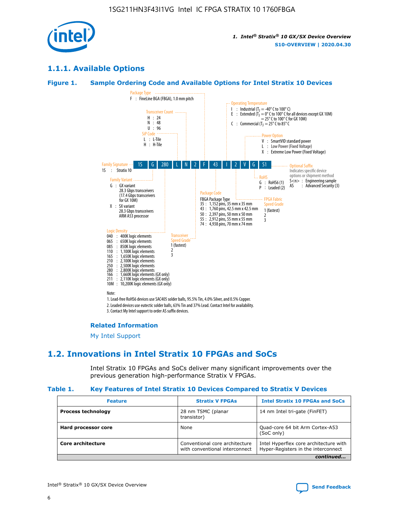

## **1.1.1. Available Options**

### **Figure 1. Sample Ordering Code and Available Options for Intel Stratix 10 Devices**



## **Related Information**

[My Intel Support](https://www.intel.com/content/www/us/en/programmable/my-intel/mal-home.html)

## **1.2. Innovations in Intel Stratix 10 FPGAs and SoCs**

Intel Stratix 10 FPGAs and SoCs deliver many significant improvements over the previous generation high-performance Stratix V FPGAs.

#### **Table 1. Key Features of Intel Stratix 10 Devices Compared to Stratix V Devices**

| <b>Feature</b>            | <b>Stratix V FPGAs</b>                                             | <b>Intel Stratix 10 FPGAs and SoCs</b>                                        |  |
|---------------------------|--------------------------------------------------------------------|-------------------------------------------------------------------------------|--|
| <b>Process technology</b> | 28 nm TSMC (planar<br>14 nm Intel tri-gate (FinFET)<br>transistor) |                                                                               |  |
| Hard processor core       | None                                                               | Quad-core 64 bit Arm Cortex-A53<br>(SoC only)                                 |  |
| Core architecture         | Conventional core architecture<br>with conventional interconnect   | Intel Hyperflex core architecture with<br>Hyper-Registers in the interconnect |  |
|                           |                                                                    | continued                                                                     |  |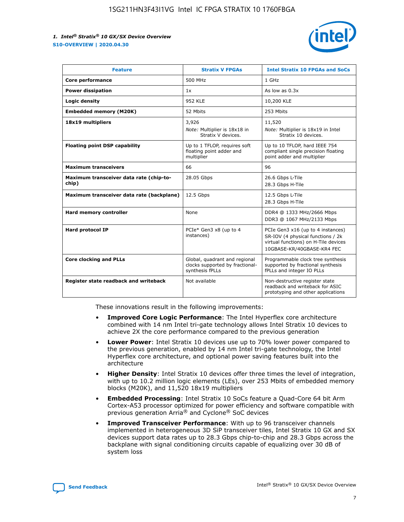

| <b>Feature</b>                                   | <b>Stratix V FPGAs</b>                                                              | <b>Intel Stratix 10 FPGAs and SoCs</b>                                                                                                       |
|--------------------------------------------------|-------------------------------------------------------------------------------------|----------------------------------------------------------------------------------------------------------------------------------------------|
| Core performance                                 | 500 MHz                                                                             | 1 GHz                                                                                                                                        |
| <b>Power dissipation</b>                         | 1x                                                                                  | As low as $0.3x$                                                                                                                             |
| Logic density                                    | 952 KLE                                                                             | 10,200 KLE                                                                                                                                   |
| <b>Embedded memory (M20K)</b>                    | 52 Mbits                                                                            | 253 Mbits                                                                                                                                    |
| 18x19 multipliers                                | 3,926                                                                               | 11,520                                                                                                                                       |
|                                                  | Note: Multiplier is 18x18 in<br>Stratix V devices.                                  | Note: Multiplier is 18x19 in Intel<br>Stratix 10 devices.                                                                                    |
| <b>Floating point DSP capability</b>             | Up to 1 TFLOP, requires soft<br>floating point adder and<br>multiplier              | Up to 10 TFLOP, hard IEEE 754<br>compliant single precision floating<br>point adder and multiplier                                           |
| <b>Maximum transceivers</b>                      | 66                                                                                  | 96                                                                                                                                           |
| Maximum transceiver data rate (chip-to-<br>chip) | 28.05 Gbps                                                                          | 26.6 Gbps L-Tile<br>28.3 Gbps H-Tile                                                                                                         |
| Maximum transceiver data rate (backplane)        | 12.5 Gbps                                                                           | 12.5 Gbps L-Tile<br>28.3 Gbps H-Tile                                                                                                         |
| Hard memory controller                           | None                                                                                | DDR4 @ 1333 MHz/2666 Mbps<br>DDR3 @ 1067 MHz/2133 Mbps                                                                                       |
| <b>Hard protocol IP</b>                          | PCIe* Gen3 x8 (up to 4<br>instances)                                                | PCIe Gen3 x16 (up to 4 instances)<br>SR-IOV (4 physical functions / 2k<br>virtual functions) on H-Tile devices<br>10GBASE-KR/40GBASE-KR4 FEC |
| <b>Core clocking and PLLs</b>                    | Global, quadrant and regional<br>clocks supported by fractional-<br>synthesis fPLLs | Programmable clock tree synthesis<br>supported by fractional synthesis<br>fPLLs and integer IO PLLs                                          |
| Register state readback and writeback            | Not available                                                                       | Non-destructive register state<br>readback and writeback for ASIC<br>prototyping and other applications                                      |

These innovations result in the following improvements:

- **Improved Core Logic Performance**: The Intel Hyperflex core architecture combined with 14 nm Intel tri-gate technology allows Intel Stratix 10 devices to achieve 2X the core performance compared to the previous generation
- **Lower Power**: Intel Stratix 10 devices use up to 70% lower power compared to the previous generation, enabled by 14 nm Intel tri-gate technology, the Intel Hyperflex core architecture, and optional power saving features built into the architecture
- **Higher Density**: Intel Stratix 10 devices offer three times the level of integration, with up to 10.2 million logic elements (LEs), over 253 Mbits of embedded memory blocks (M20K), and 11,520 18x19 multipliers
- **Embedded Processing**: Intel Stratix 10 SoCs feature a Quad-Core 64 bit Arm Cortex-A53 processor optimized for power efficiency and software compatible with previous generation Arria® and Cyclone® SoC devices
- **Improved Transceiver Performance**: With up to 96 transceiver channels implemented in heterogeneous 3D SiP transceiver tiles, Intel Stratix 10 GX and SX devices support data rates up to 28.3 Gbps chip-to-chip and 28.3 Gbps across the backplane with signal conditioning circuits capable of equalizing over 30 dB of system loss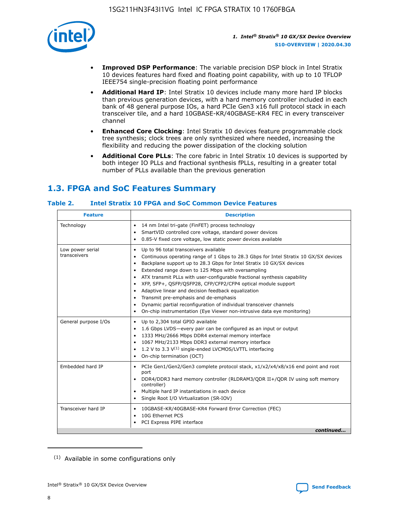

- **Improved DSP Performance**: The variable precision DSP block in Intel Stratix 10 devices features hard fixed and floating point capability, with up to 10 TFLOP IEEE754 single-precision floating point performance
- **Additional Hard IP**: Intel Stratix 10 devices include many more hard IP blocks than previous generation devices, with a hard memory controller included in each bank of 48 general purpose IOs, a hard PCIe Gen3 x16 full protocol stack in each transceiver tile, and a hard 10GBASE-KR/40GBASE-KR4 FEC in every transceiver channel
- **Enhanced Core Clocking**: Intel Stratix 10 devices feature programmable clock tree synthesis; clock trees are only synthesized where needed, increasing the flexibility and reducing the power dissipation of the clocking solution
- **Additional Core PLLs**: The core fabric in Intel Stratix 10 devices is supported by both integer IO PLLs and fractional synthesis fPLLs, resulting in a greater total number of PLLs available than the previous generation

## **1.3. FPGA and SoC Features Summary**

## **Table 2. Intel Stratix 10 FPGA and SoC Common Device Features**

| Technology<br>14 nm Intel tri-gate (FinFET) process technology<br>٠<br>SmartVID controlled core voltage, standard power devices<br>0.85-V fixed core voltage, low static power devices available<br>Up to 96 total transceivers available<br>Low power serial<br>٠<br>transceivers<br>Continuous operating range of 1 Gbps to 28.3 Gbps for Intel Stratix 10 GX/SX devices<br>Backplane support up to 28.3 Gbps for Intel Stratix 10 GX/SX devices<br>$\bullet$<br>Extended range down to 125 Mbps with oversampling<br>$\bullet$<br>• ATX transmit PLLs with user-configurable fractional synthesis capability<br>XFP, SFP+, QSFP/QSFP28, CFP/CFP2/CFP4 optical module support<br>• Adaptive linear and decision feedback equalization<br>Transmit pre-emphasis and de-emphasis<br>Dynamic partial reconfiguration of individual transceiver channels<br>$\bullet$<br>On-chip instrumentation (Eye Viewer non-intrusive data eye monitoring)<br>General purpose I/Os<br>Up to 2,304 total GPIO available<br>$\bullet$<br>1.6 Gbps LVDS-every pair can be configured as an input or output<br>1333 MHz/2666 Mbps DDR4 external memory interface<br>1067 MHz/2133 Mbps DDR3 external memory interface<br>• 1.2 V to 3.3 $V^{(1)}$ single-ended LVCMOS/LVTTL interfacing<br>• On-chip termination (OCT)<br>Embedded hard IP<br>PCIe Gen1/Gen2/Gen3 complete protocol stack, x1/x2/x4/x8/x16 end point and root<br>$\bullet$<br>port<br>DDR4/DDR3 hard memory controller (RLDRAM3/QDR II+/QDR IV using soft memory<br>controller)<br>Multiple hard IP instantiations in each device<br>• Single Root I/O Virtualization (SR-IOV)<br>Transceiver hard IP<br>10GBASE-KR/40GBASE-KR4 Forward Error Correction (FEC)<br>$\bullet$<br>10G Ethernet PCS<br>$\bullet$ | <b>Feature</b> | <b>Description</b> |
|-------------------------------------------------------------------------------------------------------------------------------------------------------------------------------------------------------------------------------------------------------------------------------------------------------------------------------------------------------------------------------------------------------------------------------------------------------------------------------------------------------------------------------------------------------------------------------------------------------------------------------------------------------------------------------------------------------------------------------------------------------------------------------------------------------------------------------------------------------------------------------------------------------------------------------------------------------------------------------------------------------------------------------------------------------------------------------------------------------------------------------------------------------------------------------------------------------------------------------------------------------------------------------------------------------------------------------------------------------------------------------------------------------------------------------------------------------------------------------------------------------------------------------------------------------------------------------------------------------------------------------------------------------------------------------------------------------------------------------------------------------------|----------------|--------------------|
|                                                                                                                                                                                                                                                                                                                                                                                                                                                                                                                                                                                                                                                                                                                                                                                                                                                                                                                                                                                                                                                                                                                                                                                                                                                                                                                                                                                                                                                                                                                                                                                                                                                                                                                                                             |                |                    |
|                                                                                                                                                                                                                                                                                                                                                                                                                                                                                                                                                                                                                                                                                                                                                                                                                                                                                                                                                                                                                                                                                                                                                                                                                                                                                                                                                                                                                                                                                                                                                                                                                                                                                                                                                             |                |                    |
|                                                                                                                                                                                                                                                                                                                                                                                                                                                                                                                                                                                                                                                                                                                                                                                                                                                                                                                                                                                                                                                                                                                                                                                                                                                                                                                                                                                                                                                                                                                                                                                                                                                                                                                                                             |                |                    |
|                                                                                                                                                                                                                                                                                                                                                                                                                                                                                                                                                                                                                                                                                                                                                                                                                                                                                                                                                                                                                                                                                                                                                                                                                                                                                                                                                                                                                                                                                                                                                                                                                                                                                                                                                             |                |                    |
| PCI Express PIPE interface<br>continued                                                                                                                                                                                                                                                                                                                                                                                                                                                                                                                                                                                                                                                                                                                                                                                                                                                                                                                                                                                                                                                                                                                                                                                                                                                                                                                                                                                                                                                                                                                                                                                                                                                                                                                     |                |                    |

<sup>(1)</sup> Available in some configurations only

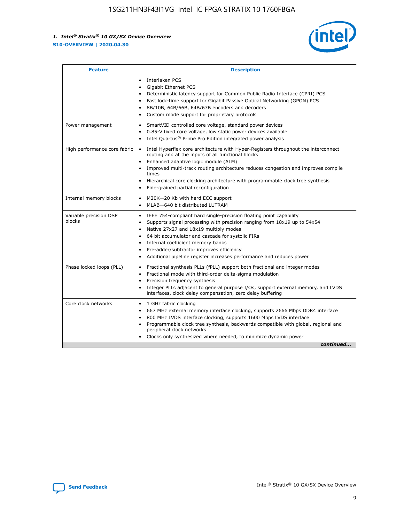

| <b>Feature</b>                   | <b>Description</b>                                                                                                                                                                                                                                                                                                                                                                                                                                                    |  |  |  |
|----------------------------------|-----------------------------------------------------------------------------------------------------------------------------------------------------------------------------------------------------------------------------------------------------------------------------------------------------------------------------------------------------------------------------------------------------------------------------------------------------------------------|--|--|--|
|                                  | Interlaken PCS<br>$\bullet$<br>Gigabit Ethernet PCS<br>$\bullet$<br>Deterministic latency support for Common Public Radio Interface (CPRI) PCS<br>$\bullet$<br>Fast lock-time support for Gigabit Passive Optical Networking (GPON) PCS<br>$\bullet$<br>8B/10B, 64B/66B, 64B/67B encoders and decoders<br>Custom mode support for proprietary protocols                                                                                                               |  |  |  |
| Power management                 | SmartVID controlled core voltage, standard power devices<br>$\bullet$<br>0.85-V fixed core voltage, low static power devices available<br>$\bullet$<br>Intel Quartus <sup>®</sup> Prime Pro Edition integrated power analysis<br>$\bullet$                                                                                                                                                                                                                            |  |  |  |
| High performance core fabric     | Intel Hyperflex core architecture with Hyper-Registers throughout the interconnect<br>routing and at the inputs of all functional blocks<br>Enhanced adaptive logic module (ALM)<br>$\bullet$<br>Improved multi-track routing architecture reduces congestion and improves compile<br>times<br>Hierarchical core clocking architecture with programmable clock tree synthesis<br>$\bullet$<br>Fine-grained partial reconfiguration                                    |  |  |  |
| Internal memory blocks           | M20K-20 Kb with hard ECC support<br>$\bullet$<br>MLAB-640 bit distributed LUTRAM<br>$\bullet$                                                                                                                                                                                                                                                                                                                                                                         |  |  |  |
| Variable precision DSP<br>blocks | IEEE 754-compliant hard single-precision floating point capability<br>$\bullet$<br>Supports signal processing with precision ranging from 18x19 up to 54x54<br>$\bullet$<br>Native 27x27 and 18x19 multiply modes<br>$\bullet$<br>64 bit accumulator and cascade for systolic FIRs<br>Internal coefficient memory banks<br>Pre-adder/subtractor improves efficiency<br>$\bullet$<br>Additional pipeline register increases performance and reduces power<br>$\bullet$ |  |  |  |
| Phase locked loops (PLL)         | Fractional synthesis PLLs (fPLL) support both fractional and integer modes<br>$\bullet$<br>Fractional mode with third-order delta-sigma modulation<br>Precision frequency synthesis<br>$\bullet$<br>Integer PLLs adjacent to general purpose I/Os, support external memory, and LVDS<br>$\bullet$<br>interfaces, clock delay compensation, zero delay buffering                                                                                                       |  |  |  |
| Core clock networks              | 1 GHz fabric clocking<br>$\bullet$<br>667 MHz external memory interface clocking, supports 2666 Mbps DDR4 interface<br>٠<br>800 MHz LVDS interface clocking, supports 1600 Mbps LVDS interface<br>$\bullet$<br>Programmable clock tree synthesis, backwards compatible with global, regional and<br>$\bullet$<br>peripheral clock networks<br>Clocks only synthesized where needed, to minimize dynamic power<br>continued                                            |  |  |  |

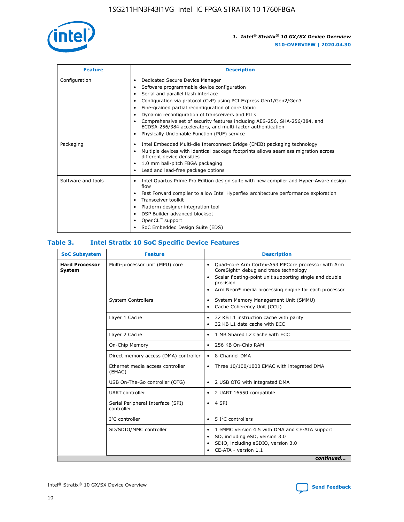

| <b>Feature</b>     | <b>Description</b>                                                                                                                                                                                                                                                                                                                                                                                                                                                                                                                                                   |
|--------------------|----------------------------------------------------------------------------------------------------------------------------------------------------------------------------------------------------------------------------------------------------------------------------------------------------------------------------------------------------------------------------------------------------------------------------------------------------------------------------------------------------------------------------------------------------------------------|
| Configuration      | Dedicated Secure Device Manager<br>$\bullet$<br>Software programmable device configuration<br>٠<br>Serial and parallel flash interface<br>٠<br>Configuration via protocol (CvP) using PCI Express Gen1/Gen2/Gen3<br>٠<br>Fine-grained partial reconfiguration of core fabric<br>$\bullet$<br>Dynamic reconfiguration of transceivers and PLLs<br>$\bullet$<br>Comprehensive set of security features including AES-256, SHA-256/384, and<br>ECDSA-256/384 accelerators, and multi-factor authentication<br>Physically Unclonable Function (PUF) service<br>$\bullet$ |
| Packaging          | Intel Embedded Multi-die Interconnect Bridge (EMIB) packaging technology<br>٠<br>Multiple devices with identical package footprints allows seamless migration across<br>$\bullet$<br>different device densities<br>1.0 mm ball-pitch FBGA packaging<br>$\bullet$<br>Lead and lead-free package options                                                                                                                                                                                                                                                               |
| Software and tools | Intel Quartus Prime Pro Edition design suite with new compiler and Hyper-Aware design<br>flow<br>Fast Forward compiler to allow Intel Hyperflex architecture performance exploration<br>$\bullet$<br>Transceiver toolkit<br>$\bullet$<br>Platform designer integration tool<br>DSP Builder advanced blockset<br>OpenCL <sup>™</sup> support<br>SoC Embedded Design Suite (EDS)                                                                                                                                                                                       |

## **Table 3. Intel Stratix 10 SoC Specific Device Features**

| <b>SoC Subsystem</b>                   | <b>Feature</b>                                  | <b>Description</b>                                                                                                                                                                                                                                                 |
|----------------------------------------|-------------------------------------------------|--------------------------------------------------------------------------------------------------------------------------------------------------------------------------------------------------------------------------------------------------------------------|
| <b>Hard Processor</b><br><b>System</b> | Multi-processor unit (MPU) core                 | Quad-core Arm Cortex-A53 MPCore processor with Arm<br>$\bullet$<br>CoreSight* debug and trace technology<br>Scalar floating-point unit supporting single and double<br>$\bullet$<br>precision<br>Arm Neon* media processing engine for each processor<br>$\bullet$ |
|                                        | <b>System Controllers</b>                       | System Memory Management Unit (SMMU)<br>$\bullet$<br>Cache Coherency Unit (CCU)<br>$\bullet$                                                                                                                                                                       |
| Layer 1 Cache                          |                                                 | 32 KB L1 instruction cache with parity<br>٠<br>32 KB L1 data cache with ECC<br>$\bullet$                                                                                                                                                                           |
|                                        | Layer 2 Cache                                   | 1 MB Shared L2 Cache with ECC<br>$\bullet$                                                                                                                                                                                                                         |
|                                        | On-Chip Memory                                  | 256 KB On-Chip RAM<br>$\bullet$                                                                                                                                                                                                                                    |
|                                        | Direct memory access (DMA) controller           | • 8-Channel DMA                                                                                                                                                                                                                                                    |
|                                        | Ethernet media access controller<br>(EMAC)      | Three 10/100/1000 EMAC with integrated DMA<br>$\bullet$                                                                                                                                                                                                            |
|                                        | USB On-The-Go controller (OTG)                  | 2 USB OTG with integrated DMA<br>$\bullet$                                                                                                                                                                                                                         |
|                                        | <b>UART</b> controller                          | 2 UART 16550 compatible<br>$\bullet$                                                                                                                                                                                                                               |
|                                        | Serial Peripheral Interface (SPI)<br>controller | $\bullet$ 4 SPI                                                                                                                                                                                                                                                    |
|                                        | $I2C$ controller                                | 5 <sup>2</sup> C controllers<br>$\bullet$                                                                                                                                                                                                                          |
|                                        | SD/SDIO/MMC controller                          | 1 eMMC version 4.5 with DMA and CE-ATA support<br>$\bullet$<br>SD, including eSD, version 3.0<br>٠<br>SDIO, including eSDIO, version 3.0<br>CE-ATA - version 1.1<br>continued                                                                                      |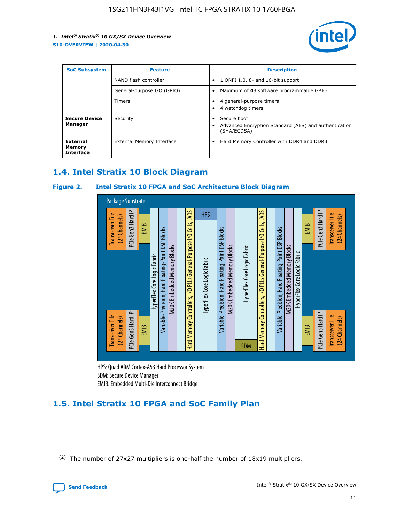

| <b>SoC Subsystem</b>                   | <b>Feature</b>             | <b>Description</b>                                                                                    |
|----------------------------------------|----------------------------|-------------------------------------------------------------------------------------------------------|
|                                        | NAND flash controller      | 1 ONFI 1.0, 8- and 16-bit support<br>$\bullet$                                                        |
|                                        | General-purpose I/O (GPIO) | Maximum of 48 software programmable GPIO<br>$\bullet$                                                 |
|                                        | Timers                     | 4 general-purpose timers<br>4 watchdog timers<br>٠                                                    |
| <b>Secure Device</b><br>Manager        | Security                   | Secure boot<br>$\bullet$<br>Advanced Encryption Standard (AES) and authentication<br>٠<br>(SHA/ECDSA) |
| External<br>Memory<br><b>Interface</b> | External Memory Interface  | Hard Memory Controller with DDR4 and DDR3<br>$\bullet$                                                |

## **1.4. Intel Stratix 10 Block Diagram**

## **Figure 2. Intel Stratix 10 FPGA and SoC Architecture Block Diagram**



HPS: Quad ARM Cortex-A53 Hard Processor System SDM: Secure Device Manager

## **1.5. Intel Stratix 10 FPGA and SoC Family Plan**

<sup>(2)</sup> The number of 27x27 multipliers is one-half the number of 18x19 multipliers.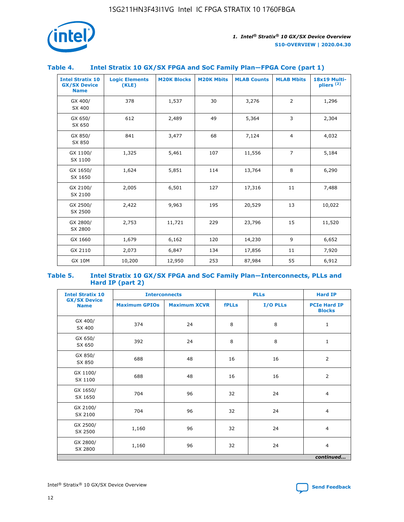

## **Table 4. Intel Stratix 10 GX/SX FPGA and SoC Family Plan—FPGA Core (part 1)**

| <b>Intel Stratix 10</b><br><b>GX/SX Device</b><br><b>Name</b> | <b>Logic Elements</b><br>(KLE) | <b>M20K Blocks</b> | <b>M20K Mbits</b> | <b>MLAB Counts</b> | <b>MLAB Mbits</b> | <b>18x19 Multi-</b><br>pliers <sup>(2)</sup> |
|---------------------------------------------------------------|--------------------------------|--------------------|-------------------|--------------------|-------------------|----------------------------------------------|
| GX 400/<br>SX 400                                             | 378                            | 1,537              | 30                | 3,276              | 2                 | 1,296                                        |
| GX 650/<br>SX 650                                             | 612                            | 2,489              | 49                | 5,364              | 3                 | 2,304                                        |
| GX 850/<br>SX 850                                             | 841                            | 3,477              | 68                | 7,124              | $\overline{4}$    | 4,032                                        |
| GX 1100/<br>SX 1100                                           | 1,325                          | 5,461              | 107               | 11,556             | $\overline{7}$    | 5,184                                        |
| GX 1650/<br>SX 1650                                           | 1,624                          | 5,851              | 114               | 13,764             | 8                 | 6,290                                        |
| GX 2100/<br>SX 2100                                           | 2,005                          | 6,501              | 127               | 17,316             | 11                | 7,488                                        |
| GX 2500/<br>SX 2500                                           | 2,422                          | 9,963              | 195               | 20,529             | 13                | 10,022                                       |
| GX 2800/<br>SX 2800                                           | 2,753                          | 11,721             | 229               | 23,796             | 15                | 11,520                                       |
| GX 1660                                                       | 1,679                          | 6,162              | 120               | 14,230             | 9                 | 6,652                                        |
| GX 2110                                                       | 2,073                          | 6,847              | 134               | 17,856             | 11                | 7,920                                        |
| <b>GX 10M</b>                                                 | 10,200                         | 12,950             | 253               | 87,984             | 55                | 6,912                                        |

#### **Table 5. Intel Stratix 10 GX/SX FPGA and SoC Family Plan—Interconnects, PLLs and Hard IP (part 2)**

| <b>Intel Stratix 10</b>            | <b>Interconnects</b> |                     | <b>PLLs</b>  |          | <b>Hard IP</b>                       |  |
|------------------------------------|----------------------|---------------------|--------------|----------|--------------------------------------|--|
| <b>GX/SX Device</b><br><b>Name</b> | <b>Maximum GPIOs</b> | <b>Maximum XCVR</b> | <b>fPLLs</b> | I/O PLLs | <b>PCIe Hard IP</b><br><b>Blocks</b> |  |
| GX 400/<br>SX 400                  | 374                  | 24                  | 8            | 8        | $\mathbf{1}$                         |  |
| GX 650/<br>SX 650                  | 392                  | 24                  | 8            | 8        | $\mathbf{1}$                         |  |
| GX 850/<br>SX 850                  | 688                  | 48                  | 16           | 16       | 2                                    |  |
| GX 1100/<br>SX 1100                | 688                  | 48                  | 16           | 16       | 2                                    |  |
| GX 1650/<br>SX 1650                | 704                  | 96                  | 32           | 24       | $\overline{4}$                       |  |
| GX 2100/<br>SX 2100                | 704                  | 96                  | 32           | 24       | $\overline{4}$                       |  |
| GX 2500/<br>SX 2500                | 1,160                | 96                  | 32           | 24       | $\overline{4}$                       |  |
| GX 2800/<br>SX 2800                | 1,160                | 96                  | 32           | 24       | $\overline{4}$                       |  |
| continued                          |                      |                     |              |          |                                      |  |

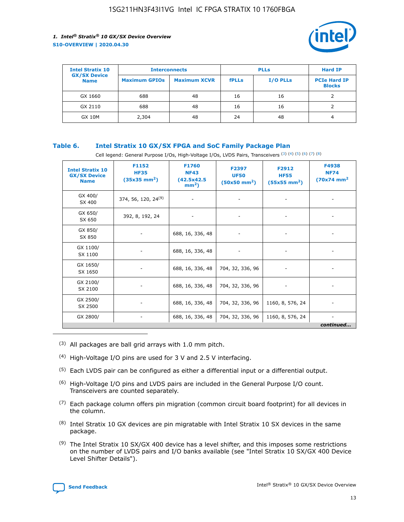

| <b>Intel Stratix 10</b>            |                      | <b>Interconnects</b> |              | <b>PLLs</b>     |                                      |
|------------------------------------|----------------------|----------------------|--------------|-----------------|--------------------------------------|
| <b>GX/SX Device</b><br><b>Name</b> | <b>Maximum GPIOs</b> | <b>Maximum XCVR</b>  | <b>fPLLs</b> | <b>I/O PLLs</b> | <b>PCIe Hard IP</b><br><b>Blocks</b> |
| GX 1660                            | 688                  | 48                   | 16           | 16              |                                      |
| GX 2110                            | 688                  | 48                   | 16           | 16              |                                      |
| <b>GX 10M</b>                      | 2,304                | 48                   | 24           | 48              | 4                                    |

## **Table 6. Intel Stratix 10 GX/SX FPGA and SoC Family Package Plan**

Cell legend: General Purpose I/Os, High-Voltage I/Os, LVDS Pairs, Transceivers (3) (4) (5) (6) (7) (8)

| <b>Intel Stratix 10</b><br><b>GX/SX Device</b><br><b>Name</b> | F1152<br><b>HF35</b><br>$(35x35 \text{ mm}^2)$ | F1760<br><b>NF43</b><br>(42.5x42.5<br>$mm2$ ) | F2397<br><b>UF50</b><br>$(50x50 \text{ mm}^2)$ | F2912<br><b>HF55</b><br>$(55x55$ mm <sup>2</sup> ) | F4938<br><b>NF74</b><br>$(70x74)$ mm <sup>2</sup> |
|---------------------------------------------------------------|------------------------------------------------|-----------------------------------------------|------------------------------------------------|----------------------------------------------------|---------------------------------------------------|
| GX 400/<br>SX 400                                             | 374, 56, 120, 24 <sup>(9)</sup>                | $\overline{\phantom{a}}$                      | $\overline{\phantom{a}}$                       | ۰                                                  |                                                   |
| GX 650/<br>SX 650                                             | 392, 8, 192, 24                                | $\overline{\phantom{a}}$                      | $\overline{\phantom{a}}$                       |                                                    |                                                   |
| GX 850/<br>SX 850                                             | ۰.                                             | 688, 16, 336, 48                              |                                                |                                                    |                                                   |
| GX 1100/<br>SX 1100                                           |                                                | 688, 16, 336, 48                              |                                                |                                                    |                                                   |
| GX 1650/<br>SX 1650                                           |                                                | 688, 16, 336, 48                              | 704, 32, 336, 96                               |                                                    |                                                   |
| GX 2100/<br>SX 2100                                           | -                                              | 688, 16, 336, 48                              | 704, 32, 336, 96                               | $\overline{\phantom{a}}$                           |                                                   |
| GX 2500/<br>SX 2500                                           |                                                | 688, 16, 336, 48                              | 704, 32, 336, 96                               | 1160, 8, 576, 24                                   |                                                   |
| GX 2800/                                                      | ۰                                              | 688, 16, 336, 48                              | 704, 32, 336, 96                               | 1160, 8, 576, 24                                   | $\overline{\phantom{a}}$<br>continued             |

- (3) All packages are ball grid arrays with 1.0 mm pitch.
- (4) High-Voltage I/O pins are used for 3 V and 2.5 V interfacing.
- $(5)$  Each LVDS pair can be configured as either a differential input or a differential output.
- (6) High-Voltage I/O pins and LVDS pairs are included in the General Purpose I/O count. Transceivers are counted separately.
- $(7)$  Each package column offers pin migration (common circuit board footprint) for all devices in the column.
- $(8)$  Intel Stratix 10 GX devices are pin migratable with Intel Stratix 10 SX devices in the same package.
- $(9)$  The Intel Stratix 10 SX/GX 400 device has a level shifter, and this imposes some restrictions on the number of LVDS pairs and I/O banks available (see "Intel Stratix 10 SX/GX 400 Device Level Shifter Details").

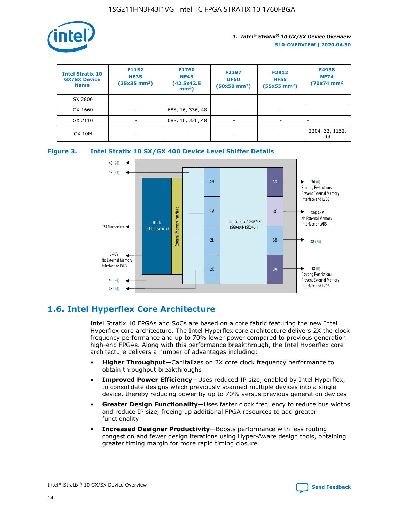

| <b>Intel Stratix 10</b><br><b>GX/SX Device</b><br><b>Name</b> | F1152<br><b>HF35</b><br>$(35x35)$ mm <sup>2</sup> ) | F1760<br><b>NF43</b><br>(42.5x42.5<br>$mm2$ ) | F2397<br><b>UF50</b><br>$(50x50 \text{ mm}^2)$ | F2912<br><b>HF55</b><br>$(55x55$ mm <sup>2</sup> ) | F4938<br><b>NF74</b><br>$(70x74)$ mm <sup>2</sup> |
|---------------------------------------------------------------|-----------------------------------------------------|-----------------------------------------------|------------------------------------------------|----------------------------------------------------|---------------------------------------------------|
| SX 2800                                                       |                                                     |                                               |                                                |                                                    |                                                   |
| GX 1660                                                       | -                                                   | 688, 16, 336, 48                              | $\overline{\phantom{a}}$                       |                                                    |                                                   |
| GX 2110                                                       |                                                     | 688, 16, 336, 48                              | $\overline{\phantom{a}}$                       |                                                    |                                                   |
| <b>GX 10M</b>                                                 | ۰                                                   |                                               |                                                |                                                    | 2304, 32, 1152,<br>48                             |





## **1.6. Intel Hyperflex Core Architecture**

Intel Stratix 10 FPGAs and SoCs are based on a core fabric featuring the new Intel Hyperflex core architecture. The Intel Hyperflex core architecture delivers 2X the clock frequency performance and up to 70% lower power compared to previous generation high-end FPGAs. Along with this performance breakthrough, the Intel Hyperflex core architecture delivers a number of advantages including:

- **Higher Throughput**—Capitalizes on 2X core clock frequency performance to obtain throughput breakthroughs
- **Improved Power Efficiency**—Uses reduced IP size, enabled by Intel Hyperflex, to consolidate designs which previously spanned multiple devices into a single device, thereby reducing power by up to 70% versus previous generation devices
- **Greater Design Functionality**—Uses faster clock frequency to reduce bus widths and reduce IP size, freeing up additional FPGA resources to add greater functionality
- **Increased Designer Productivity**—Boosts performance with less routing congestion and fewer design iterations using Hyper-Aware design tools, obtaining greater timing margin for more rapid timing closure

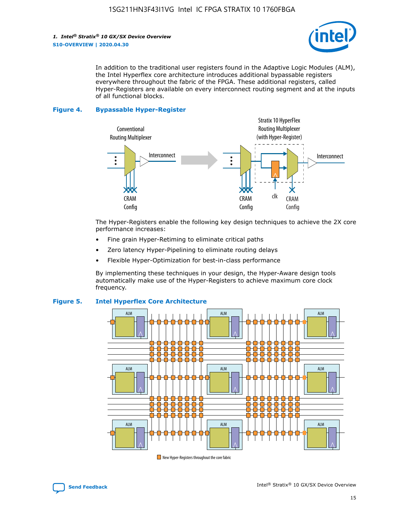

In addition to the traditional user registers found in the Adaptive Logic Modules (ALM), the Intel Hyperflex core architecture introduces additional bypassable registers everywhere throughout the fabric of the FPGA. These additional registers, called Hyper-Registers are available on every interconnect routing segment and at the inputs of all functional blocks.

#### **Figure 4. Bypassable Hyper-Register**



The Hyper-Registers enable the following key design techniques to achieve the 2X core performance increases:

- Fine grain Hyper-Retiming to eliminate critical paths
- Zero latency Hyper-Pipelining to eliminate routing delays
- Flexible Hyper-Optimization for best-in-class performance

By implementing these techniques in your design, the Hyper-Aware design tools automatically make use of the Hyper-Registers to achieve maximum core clock frequency.



## **Figure 5. Intel Hyperflex Core Architecture**

New Hyper-Registers throughout the core fabric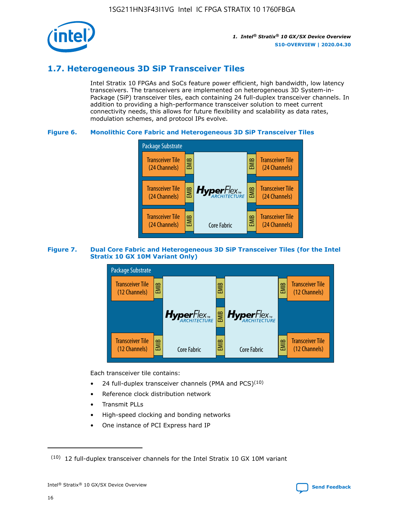

## **1.7. Heterogeneous 3D SiP Transceiver Tiles**

Intel Stratix 10 FPGAs and SoCs feature power efficient, high bandwidth, low latency transceivers. The transceivers are implemented on heterogeneous 3D System-in-Package (SiP) transceiver tiles, each containing 24 full-duplex transceiver channels. In addition to providing a high-performance transceiver solution to meet current connectivity needs, this allows for future flexibility and scalability as data rates, modulation schemes, and protocol IPs evolve.

## **Figure 6. Monolithic Core Fabric and Heterogeneous 3D SiP Transceiver Tiles**



## **Figure 7. Dual Core Fabric and Heterogeneous 3D SiP Transceiver Tiles (for the Intel Stratix 10 GX 10M Variant Only)**



Each transceiver tile contains:

- 24 full-duplex transceiver channels (PMA and PCS) $(10)$
- Reference clock distribution network
- Transmit PLLs
- High-speed clocking and bonding networks
- One instance of PCI Express hard IP

 $(10)$  12 full-duplex transceiver channels for the Intel Stratix 10 GX 10M variant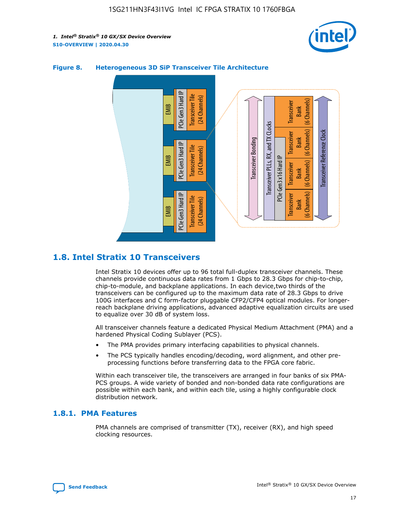



## **Figure 8. Heterogeneous 3D SiP Transceiver Tile Architecture**

## **1.8. Intel Stratix 10 Transceivers**

Intel Stratix 10 devices offer up to 96 total full-duplex transceiver channels. These channels provide continuous data rates from 1 Gbps to 28.3 Gbps for chip-to-chip, chip-to-module, and backplane applications. In each device,two thirds of the transceivers can be configured up to the maximum data rate of 28.3 Gbps to drive 100G interfaces and C form-factor pluggable CFP2/CFP4 optical modules. For longerreach backplane driving applications, advanced adaptive equalization circuits are used to equalize over 30 dB of system loss.

All transceiver channels feature a dedicated Physical Medium Attachment (PMA) and a hardened Physical Coding Sublayer (PCS).

- The PMA provides primary interfacing capabilities to physical channels.
- The PCS typically handles encoding/decoding, word alignment, and other preprocessing functions before transferring data to the FPGA core fabric.

Within each transceiver tile, the transceivers are arranged in four banks of six PMA-PCS groups. A wide variety of bonded and non-bonded data rate configurations are possible within each bank, and within each tile, using a highly configurable clock distribution network.

## **1.8.1. PMA Features**

PMA channels are comprised of transmitter (TX), receiver (RX), and high speed clocking resources.

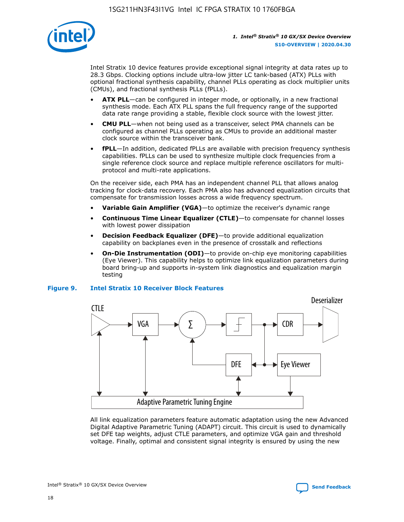

Intel Stratix 10 device features provide exceptional signal integrity at data rates up to 28.3 Gbps. Clocking options include ultra-low jitter LC tank-based (ATX) PLLs with optional fractional synthesis capability, channel PLLs operating as clock multiplier units (CMUs), and fractional synthesis PLLs (fPLLs).

- **ATX PLL**—can be configured in integer mode, or optionally, in a new fractional synthesis mode. Each ATX PLL spans the full frequency range of the supported data rate range providing a stable, flexible clock source with the lowest jitter.
- **CMU PLL**—when not being used as a transceiver, select PMA channels can be configured as channel PLLs operating as CMUs to provide an additional master clock source within the transceiver bank.
- **fPLL**—In addition, dedicated fPLLs are available with precision frequency synthesis capabilities. fPLLs can be used to synthesize multiple clock frequencies from a single reference clock source and replace multiple reference oscillators for multiprotocol and multi-rate applications.

On the receiver side, each PMA has an independent channel PLL that allows analog tracking for clock-data recovery. Each PMA also has advanced equalization circuits that compensate for transmission losses across a wide frequency spectrum.

- **Variable Gain Amplifier (VGA)**—to optimize the receiver's dynamic range
- **Continuous Time Linear Equalizer (CTLE)**—to compensate for channel losses with lowest power dissipation
- **Decision Feedback Equalizer (DFE)**—to provide additional equalization capability on backplanes even in the presence of crosstalk and reflections
- **On-Die Instrumentation (ODI)**—to provide on-chip eye monitoring capabilities (Eye Viewer). This capability helps to optimize link equalization parameters during board bring-up and supports in-system link diagnostics and equalization margin testing

#### **Figure 9. Intel Stratix 10 Receiver Block Features**



All link equalization parameters feature automatic adaptation using the new Advanced Digital Adaptive Parametric Tuning (ADAPT) circuit. This circuit is used to dynamically set DFE tap weights, adjust CTLE parameters, and optimize VGA gain and threshold voltage. Finally, optimal and consistent signal integrity is ensured by using the new

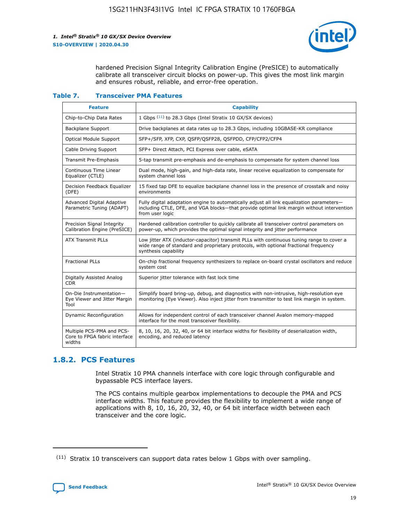

hardened Precision Signal Integrity Calibration Engine (PreSICE) to automatically calibrate all transceiver circuit blocks on power-up. This gives the most link margin and ensures robust, reliable, and error-free operation.

#### **Table 7. Transceiver PMA Features**

| <b>Feature</b>                                                       | <b>Capability</b>                                                                                                                                                                                         |
|----------------------------------------------------------------------|-----------------------------------------------------------------------------------------------------------------------------------------------------------------------------------------------------------|
| Chip-to-Chip Data Rates                                              | 1 Gbps (11) to 28.3 Gbps (Intel Stratix 10 GX/SX devices)                                                                                                                                                 |
| <b>Backplane Support</b>                                             | Drive backplanes at data rates up to 28.3 Gbps, including 10GBASE-KR compliance                                                                                                                           |
| Optical Module Support                                               | SFP+/SFP, XFP, CXP, QSFP/QSFP28, QSFPDD, CFP/CFP2/CFP4                                                                                                                                                    |
| Cable Driving Support                                                | SFP+ Direct Attach, PCI Express over cable, eSATA                                                                                                                                                         |
| <b>Transmit Pre-Emphasis</b>                                         | 5-tap transmit pre-emphasis and de-emphasis to compensate for system channel loss                                                                                                                         |
| Continuous Time Linear<br>Equalizer (CTLE)                           | Dual mode, high-gain, and high-data rate, linear receive equalization to compensate for<br>system channel loss                                                                                            |
| Decision Feedback Equalizer<br>(DFE)                                 | 15 fixed tap DFE to equalize backplane channel loss in the presence of crosstalk and noisy<br>environments                                                                                                |
| Advanced Digital Adaptive<br>Parametric Tuning (ADAPT)               | Fully digital adaptation engine to automatically adjust all link equalization parameters-<br>including CTLE, DFE, and VGA blocks-that provide optimal link margin without intervention<br>from user logic |
| Precision Signal Integrity<br>Calibration Engine (PreSICE)           | Hardened calibration controller to quickly calibrate all transceiver control parameters on<br>power-up, which provides the optimal signal integrity and jitter performance                                |
| <b>ATX Transmit PLLs</b>                                             | Low jitter ATX (inductor-capacitor) transmit PLLs with continuous tuning range to cover a<br>wide range of standard and proprietary protocols, with optional fractional frequency<br>synthesis capability |
| <b>Fractional PLLs</b>                                               | On-chip fractional frequency synthesizers to replace on-board crystal oscillators and reduce<br>system cost                                                                                               |
| Digitally Assisted Analog<br>CDR.                                    | Superior jitter tolerance with fast lock time                                                                                                                                                             |
| On-Die Instrumentation-<br>Eye Viewer and Jitter Margin<br>Tool      | Simplify board bring-up, debug, and diagnostics with non-intrusive, high-resolution eye<br>monitoring (Eye Viewer). Also inject jitter from transmitter to test link margin in system.                    |
| Dynamic Reconfiguration                                              | Allows for independent control of each transceiver channel Avalon memory-mapped<br>interface for the most transceiver flexibility.                                                                        |
| Multiple PCS-PMA and PCS-<br>Core to FPGA fabric interface<br>widths | 8, 10, 16, 20, 32, 40, or 64 bit interface widths for flexibility of deserialization width,<br>encoding, and reduced latency                                                                              |

## **1.8.2. PCS Features**

Intel Stratix 10 PMA channels interface with core logic through configurable and bypassable PCS interface layers.

The PCS contains multiple gearbox implementations to decouple the PMA and PCS interface widths. This feature provides the flexibility to implement a wide range of applications with 8, 10, 16, 20, 32, 40, or 64 bit interface width between each transceiver and the core logic.

 $(11)$  Stratix 10 transceivers can support data rates below 1 Gbps with over sampling.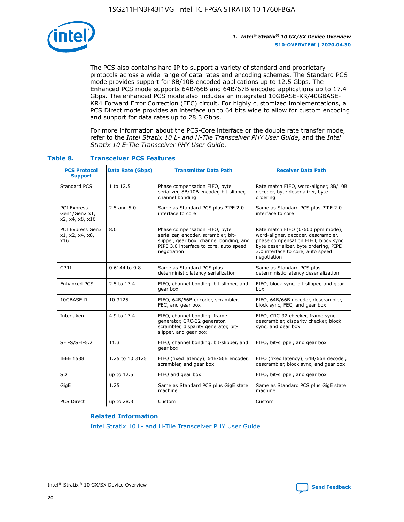

The PCS also contains hard IP to support a variety of standard and proprietary protocols across a wide range of data rates and encoding schemes. The Standard PCS mode provides support for 8B/10B encoded applications up to 12.5 Gbps. The Enhanced PCS mode supports 64B/66B and 64B/67B encoded applications up to 17.4 Gbps. The enhanced PCS mode also includes an integrated 10GBASE-KR/40GBASE-KR4 Forward Error Correction (FEC) circuit. For highly customized implementations, a PCS Direct mode provides an interface up to 64 bits wide to allow for custom encoding and support for data rates up to 28.3 Gbps.

For more information about the PCS-Core interface or the double rate transfer mode, refer to the *Intel Stratix 10 L- and H-Tile Transceiver PHY User Guide*, and the *Intel Stratix 10 E-Tile Transceiver PHY User Guide*.

| <b>PCS Protocol</b><br><b>Support</b>           | Data Rate (Gbps) | <b>Transmitter Data Path</b>                                                                                                                                              | <b>Receiver Data Path</b>                                                                                                                                                                                      |
|-------------------------------------------------|------------------|---------------------------------------------------------------------------------------------------------------------------------------------------------------------------|----------------------------------------------------------------------------------------------------------------------------------------------------------------------------------------------------------------|
| Standard PCS                                    | 1 to 12.5        | Phase compensation FIFO, byte<br>serializer, 8B/10B encoder, bit-slipper,<br>channel bonding                                                                              | Rate match FIFO, word-aligner, 8B/10B<br>decoder, byte deserializer, byte<br>ordering                                                                                                                          |
| PCI Express<br>Gen1/Gen2 x1,<br>x2, x4, x8, x16 | $2.5$ and $5.0$  | Same as Standard PCS plus PIPE 2.0<br>interface to core                                                                                                                   | Same as Standard PCS plus PIPE 2.0<br>interface to core                                                                                                                                                        |
| PCI Express Gen3<br>x1, x2, x4, x8,<br>x16      | 8.0              | Phase compensation FIFO, byte<br>serializer, encoder, scrambler, bit-<br>slipper, gear box, channel bonding, and<br>PIPE 3.0 interface to core, auto speed<br>negotiation | Rate match FIFO (0-600 ppm mode),<br>word-aligner, decoder, descrambler,<br>phase compensation FIFO, block sync,<br>byte deserializer, byte ordering, PIPE<br>3.0 interface to core, auto speed<br>negotiation |
| CPRI                                            | 0.6144 to 9.8    | Same as Standard PCS plus<br>deterministic latency serialization                                                                                                          | Same as Standard PCS plus<br>deterministic latency deserialization                                                                                                                                             |
| <b>Enhanced PCS</b>                             | 2.5 to 17.4      | FIFO, channel bonding, bit-slipper, and<br>gear box                                                                                                                       | FIFO, block sync, bit-slipper, and gear<br>box                                                                                                                                                                 |
| 10GBASE-R                                       | 10.3125          | FIFO, 64B/66B encoder, scrambler,<br>FEC, and gear box                                                                                                                    | FIFO, 64B/66B decoder, descrambler,<br>block sync, FEC, and gear box                                                                                                                                           |
| Interlaken                                      | 4.9 to 17.4      | FIFO, channel bonding, frame<br>generator, CRC-32 generator,<br>scrambler, disparity generator, bit-<br>slipper, and gear box                                             | FIFO, CRC-32 checker, frame sync,<br>descrambler, disparity checker, block<br>sync, and gear box                                                                                                               |
| SFI-S/SFI-5.2                                   | 11.3             | FIFO, channel bonding, bit-slipper, and<br>gear box                                                                                                                       | FIFO, bit-slipper, and gear box                                                                                                                                                                                |
| <b>IEEE 1588</b>                                | 1.25 to 10.3125  | FIFO (fixed latency), 64B/66B encoder,<br>scrambler, and gear box                                                                                                         | FIFO (fixed latency), 64B/66B decoder,<br>descrambler, block sync, and gear box                                                                                                                                |
| SDI                                             | up to 12.5       | FIFO and gear box                                                                                                                                                         | FIFO, bit-slipper, and gear box                                                                                                                                                                                |
| GigE                                            | 1.25             | Same as Standard PCS plus GigE state<br>machine                                                                                                                           | Same as Standard PCS plus GigE state<br>machine                                                                                                                                                                |
| <b>PCS Direct</b>                               | up to 28.3       | Custom                                                                                                                                                                    | Custom                                                                                                                                                                                                         |

## **Table 8. Transceiver PCS Features**

#### **Related Information**

[Intel Stratix 10 L- and H-Tile Transceiver PHY User Guide](https://www.altera.com/documentation/wry1479165198810.html)

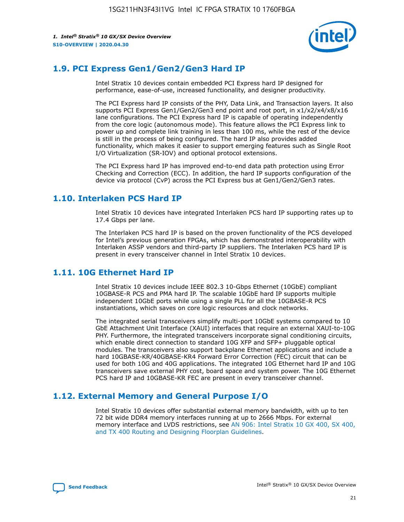

## **1.9. PCI Express Gen1/Gen2/Gen3 Hard IP**

Intel Stratix 10 devices contain embedded PCI Express hard IP designed for performance, ease-of-use, increased functionality, and designer productivity.

The PCI Express hard IP consists of the PHY, Data Link, and Transaction layers. It also supports PCI Express Gen1/Gen2/Gen3 end point and root port, in x1/x2/x4/x8/x16 lane configurations. The PCI Express hard IP is capable of operating independently from the core logic (autonomous mode). This feature allows the PCI Express link to power up and complete link training in less than 100 ms, while the rest of the device is still in the process of being configured. The hard IP also provides added functionality, which makes it easier to support emerging features such as Single Root I/O Virtualization (SR-IOV) and optional protocol extensions.

The PCI Express hard IP has improved end-to-end data path protection using Error Checking and Correction (ECC). In addition, the hard IP supports configuration of the device via protocol (CvP) across the PCI Express bus at Gen1/Gen2/Gen3 rates.

## **1.10. Interlaken PCS Hard IP**

Intel Stratix 10 devices have integrated Interlaken PCS hard IP supporting rates up to 17.4 Gbps per lane.

The Interlaken PCS hard IP is based on the proven functionality of the PCS developed for Intel's previous generation FPGAs, which has demonstrated interoperability with Interlaken ASSP vendors and third-party IP suppliers. The Interlaken PCS hard IP is present in every transceiver channel in Intel Stratix 10 devices.

## **1.11. 10G Ethernet Hard IP**

Intel Stratix 10 devices include IEEE 802.3 10-Gbps Ethernet (10GbE) compliant 10GBASE-R PCS and PMA hard IP. The scalable 10GbE hard IP supports multiple independent 10GbE ports while using a single PLL for all the 10GBASE-R PCS instantiations, which saves on core logic resources and clock networks.

The integrated serial transceivers simplify multi-port 10GbE systems compared to 10 GbE Attachment Unit Interface (XAUI) interfaces that require an external XAUI-to-10G PHY. Furthermore, the integrated transceivers incorporate signal conditioning circuits, which enable direct connection to standard 10G XFP and SFP+ pluggable optical modules. The transceivers also support backplane Ethernet applications and include a hard 10GBASE-KR/40GBASE-KR4 Forward Error Correction (FEC) circuit that can be used for both 10G and 40G applications. The integrated 10G Ethernet hard IP and 10G transceivers save external PHY cost, board space and system power. The 10G Ethernet PCS hard IP and 10GBASE-KR FEC are present in every transceiver channel.

## **1.12. External Memory and General Purpose I/O**

Intel Stratix 10 devices offer substantial external memory bandwidth, with up to ten 72 bit wide DDR4 memory interfaces running at up to 2666 Mbps. For external memory interface and LVDS restrictions, see [AN 906: Intel Stratix 10 GX 400, SX 400,](https://www.intel.com/content/www/us/en/programmable/documentation/sjf1574667190623.html#bft1574667627484) [and TX 400 Routing and Designing Floorplan Guidelines.](https://www.intel.com/content/www/us/en/programmable/documentation/sjf1574667190623.html#bft1574667627484)

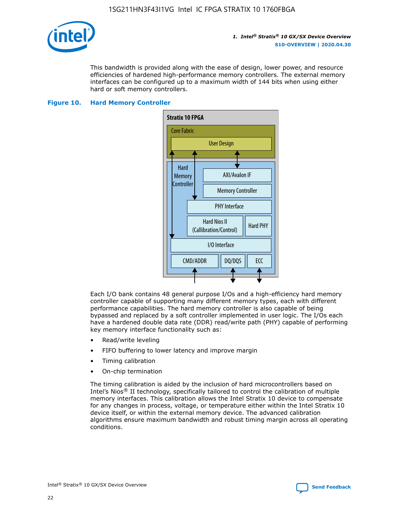

This bandwidth is provided along with the ease of design, lower power, and resource efficiencies of hardened high-performance memory controllers. The external memory interfaces can be configured up to a maximum width of 144 bits when using either hard or soft memory controllers.

## **Figure 10. Hard Memory Controller**



Each I/O bank contains 48 general purpose I/Os and a high-efficiency hard memory controller capable of supporting many different memory types, each with different performance capabilities. The hard memory controller is also capable of being bypassed and replaced by a soft controller implemented in user logic. The I/Os each have a hardened double data rate (DDR) read/write path (PHY) capable of performing key memory interface functionality such as:

- Read/write leveling
- FIFO buffering to lower latency and improve margin
- Timing calibration
- On-chip termination

The timing calibration is aided by the inclusion of hard microcontrollers based on Intel's Nios® II technology, specifically tailored to control the calibration of multiple memory interfaces. This calibration allows the Intel Stratix 10 device to compensate for any changes in process, voltage, or temperature either within the Intel Stratix 10 device itself, or within the external memory device. The advanced calibration algorithms ensure maximum bandwidth and robust timing margin across all operating conditions.

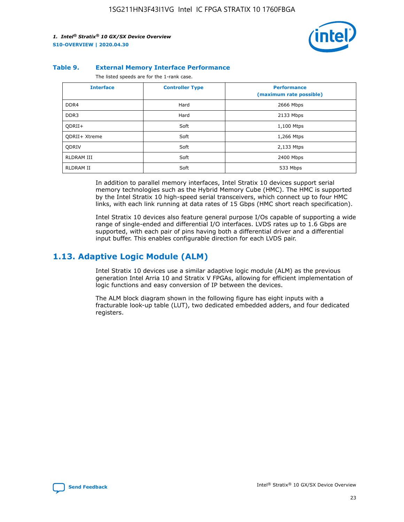

#### **Table 9. External Memory Interface Performance**

The listed speeds are for the 1-rank case.

| <b>Interface</b>     | <b>Controller Type</b> | <b>Performance</b><br>(maximum rate possible) |
|----------------------|------------------------|-----------------------------------------------|
| DDR4                 | Hard                   | 2666 Mbps                                     |
| DDR <sub>3</sub>     | Hard                   | 2133 Mbps                                     |
| QDRII+               | Soft                   | 1,100 Mtps                                    |
| <b>ODRII+ Xtreme</b> | Soft                   | 1,266 Mtps                                    |
| <b>ODRIV</b>         | Soft                   | 2,133 Mtps                                    |
| RLDRAM III           | Soft                   | 2400 Mbps                                     |
| <b>RLDRAM II</b>     | Soft                   | 533 Mbps                                      |

In addition to parallel memory interfaces, Intel Stratix 10 devices support serial memory technologies such as the Hybrid Memory Cube (HMC). The HMC is supported by the Intel Stratix 10 high-speed serial transceivers, which connect up to four HMC links, with each link running at data rates of 15 Gbps (HMC short reach specification).

Intel Stratix 10 devices also feature general purpose I/Os capable of supporting a wide range of single-ended and differential I/O interfaces. LVDS rates up to 1.6 Gbps are supported, with each pair of pins having both a differential driver and a differential input buffer. This enables configurable direction for each LVDS pair.

## **1.13. Adaptive Logic Module (ALM)**

Intel Stratix 10 devices use a similar adaptive logic module (ALM) as the previous generation Intel Arria 10 and Stratix V FPGAs, allowing for efficient implementation of logic functions and easy conversion of IP between the devices.

The ALM block diagram shown in the following figure has eight inputs with a fracturable look-up table (LUT), two dedicated embedded adders, and four dedicated registers.

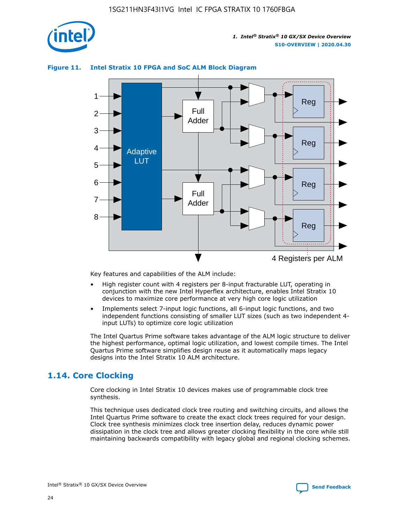

## **Figure 11. Intel Stratix 10 FPGA and SoC ALM Block Diagram**



Key features and capabilities of the ALM include:

- High register count with 4 registers per 8-input fracturable LUT, operating in conjunction with the new Intel Hyperflex architecture, enables Intel Stratix 10 devices to maximize core performance at very high core logic utilization
- Implements select 7-input logic functions, all 6-input logic functions, and two independent functions consisting of smaller LUT sizes (such as two independent 4 input LUTs) to optimize core logic utilization

The Intel Quartus Prime software takes advantage of the ALM logic structure to deliver the highest performance, optimal logic utilization, and lowest compile times. The Intel Quartus Prime software simplifies design reuse as it automatically maps legacy designs into the Intel Stratix 10 ALM architecture.

## **1.14. Core Clocking**

Core clocking in Intel Stratix 10 devices makes use of programmable clock tree synthesis.

This technique uses dedicated clock tree routing and switching circuits, and allows the Intel Quartus Prime software to create the exact clock trees required for your design. Clock tree synthesis minimizes clock tree insertion delay, reduces dynamic power dissipation in the clock tree and allows greater clocking flexibility in the core while still maintaining backwards compatibility with legacy global and regional clocking schemes.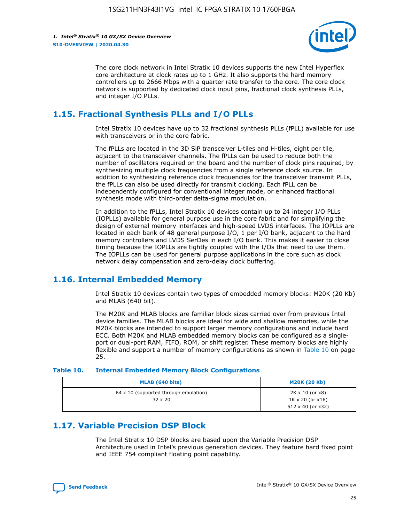

The core clock network in Intel Stratix 10 devices supports the new Intel Hyperflex core architecture at clock rates up to 1 GHz. It also supports the hard memory controllers up to 2666 Mbps with a quarter rate transfer to the core. The core clock network is supported by dedicated clock input pins, fractional clock synthesis PLLs, and integer I/O PLLs.

## **1.15. Fractional Synthesis PLLs and I/O PLLs**

Intel Stratix 10 devices have up to 32 fractional synthesis PLLs (fPLL) available for use with transceivers or in the core fabric.

The fPLLs are located in the 3D SiP transceiver L-tiles and H-tiles, eight per tile, adjacent to the transceiver channels. The fPLLs can be used to reduce both the number of oscillators required on the board and the number of clock pins required, by synthesizing multiple clock frequencies from a single reference clock source. In addition to synthesizing reference clock frequencies for the transceiver transmit PLLs, the fPLLs can also be used directly for transmit clocking. Each fPLL can be independently configured for conventional integer mode, or enhanced fractional synthesis mode with third-order delta-sigma modulation.

In addition to the fPLLs, Intel Stratix 10 devices contain up to 24 integer I/O PLLs (IOPLLs) available for general purpose use in the core fabric and for simplifying the design of external memory interfaces and high-speed LVDS interfaces. The IOPLLs are located in each bank of 48 general purpose I/O, 1 per I/O bank, adjacent to the hard memory controllers and LVDS SerDes in each I/O bank. This makes it easier to close timing because the IOPLLs are tightly coupled with the I/Os that need to use them. The IOPLLs can be used for general purpose applications in the core such as clock network delay compensation and zero-delay clock buffering.

## **1.16. Internal Embedded Memory**

Intel Stratix 10 devices contain two types of embedded memory blocks: M20K (20 Kb) and MLAB (640 bit).

The M20K and MLAB blocks are familiar block sizes carried over from previous Intel device families. The MLAB blocks are ideal for wide and shallow memories, while the M20K blocks are intended to support larger memory configurations and include hard ECC. Both M20K and MLAB embedded memory blocks can be configured as a singleport or dual-port RAM, FIFO, ROM, or shift register. These memory blocks are highly flexible and support a number of memory configurations as shown in Table 10 on page 25.

#### **Table 10. Internal Embedded Memory Block Configurations**

| MLAB (640 bits)                                                | <b>M20K (20 Kb)</b>                                                                    |
|----------------------------------------------------------------|----------------------------------------------------------------------------------------|
| $64 \times 10$ (supported through emulation)<br>$32 \times 20$ | $2K \times 10$ (or $x8$ )<br>$1K \times 20$ (or $x16$ )<br>$512 \times 40$ (or $x32$ ) |

## **1.17. Variable Precision DSP Block**

The Intel Stratix 10 DSP blocks are based upon the Variable Precision DSP Architecture used in Intel's previous generation devices. They feature hard fixed point and IEEE 754 compliant floating point capability.

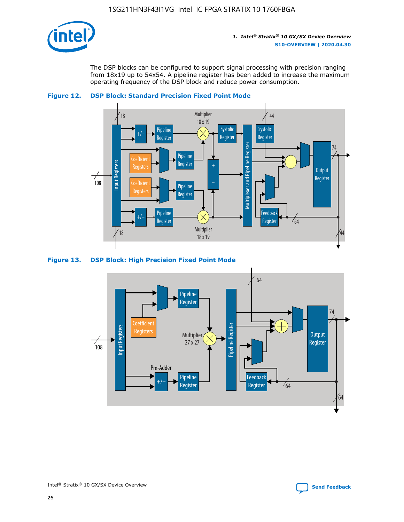

The DSP blocks can be configured to support signal processing with precision ranging from 18x19 up to 54x54. A pipeline register has been added to increase the maximum operating frequency of the DSP block and reduce power consumption.





### **Figure 13. DSP Block: High Precision Fixed Point Mode**

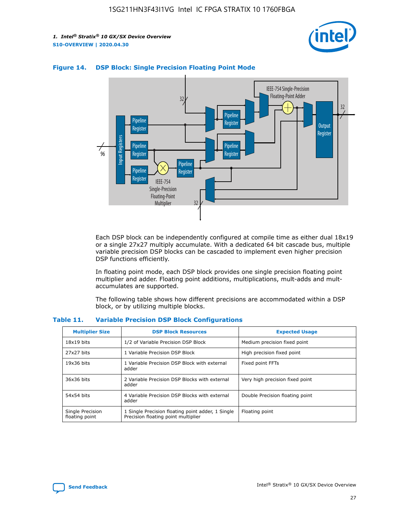



### **Figure 14. DSP Block: Single Precision Floating Point Mode**

Each DSP block can be independently configured at compile time as either dual 18x19 or a single 27x27 multiply accumulate. With a dedicated 64 bit cascade bus, multiple variable precision DSP blocks can be cascaded to implement even higher precision DSP functions efficiently.

In floating point mode, each DSP block provides one single precision floating point multiplier and adder. Floating point additions, multiplications, mult-adds and multaccumulates are supported.

The following table shows how different precisions are accommodated within a DSP block, or by utilizing multiple blocks.

| <b>Multiplier Size</b>             | <b>DSP Block Resources</b>                                                               | <b>Expected Usage</b>           |
|------------------------------------|------------------------------------------------------------------------------------------|---------------------------------|
| $18x19$ bits                       | 1/2 of Variable Precision DSP Block                                                      | Medium precision fixed point    |
| 27x27 bits                         | 1 Variable Precision DSP Block                                                           | High precision fixed point      |
| $19x36$ bits                       | 1 Variable Precision DSP Block with external<br>adder                                    | Fixed point FFTs                |
| 36x36 bits                         | 2 Variable Precision DSP Blocks with external<br>adder                                   | Very high precision fixed point |
| 54x54 bits                         | 4 Variable Precision DSP Blocks with external<br>adder                                   | Double Precision floating point |
| Single Precision<br>floating point | 1 Single Precision floating point adder, 1 Single<br>Precision floating point multiplier | Floating point                  |

#### **Table 11. Variable Precision DSP Block Configurations**

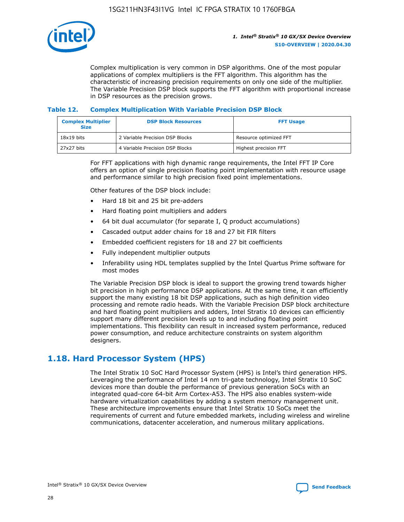

Complex multiplication is very common in DSP algorithms. One of the most popular applications of complex multipliers is the FFT algorithm. This algorithm has the characteristic of increasing precision requirements on only one side of the multiplier. The Variable Precision DSP block supports the FFT algorithm with proportional increase in DSP resources as the precision grows.

## **Table 12. Complex Multiplication With Variable Precision DSP Block**

| <b>Complex Multiplier</b><br><b>Size</b> | <b>DSP Block Resources</b>      | <b>FFT Usage</b>       |
|------------------------------------------|---------------------------------|------------------------|
| $18x19$ bits                             | 2 Variable Precision DSP Blocks | Resource optimized FFT |
| $27x27$ bits                             | 4 Variable Precision DSP Blocks | Highest precision FFT  |

For FFT applications with high dynamic range requirements, the Intel FFT IP Core offers an option of single precision floating point implementation with resource usage and performance similar to high precision fixed point implementations.

Other features of the DSP block include:

- Hard 18 bit and 25 bit pre-adders
- Hard floating point multipliers and adders
- 64 bit dual accumulator (for separate I, Q product accumulations)
- Cascaded output adder chains for 18 and 27 bit FIR filters
- Embedded coefficient registers for 18 and 27 bit coefficients
- Fully independent multiplier outputs
- Inferability using HDL templates supplied by the Intel Quartus Prime software for most modes

The Variable Precision DSP block is ideal to support the growing trend towards higher bit precision in high performance DSP applications. At the same time, it can efficiently support the many existing 18 bit DSP applications, such as high definition video processing and remote radio heads. With the Variable Precision DSP block architecture and hard floating point multipliers and adders, Intel Stratix 10 devices can efficiently support many different precision levels up to and including floating point implementations. This flexibility can result in increased system performance, reduced power consumption, and reduce architecture constraints on system algorithm designers.

## **1.18. Hard Processor System (HPS)**

The Intel Stratix 10 SoC Hard Processor System (HPS) is Intel's third generation HPS. Leveraging the performance of Intel 14 nm tri-gate technology, Intel Stratix 10 SoC devices more than double the performance of previous generation SoCs with an integrated quad-core 64-bit Arm Cortex-A53. The HPS also enables system-wide hardware virtualization capabilities by adding a system memory management unit. These architecture improvements ensure that Intel Stratix 10 SoCs meet the requirements of current and future embedded markets, including wireless and wireline communications, datacenter acceleration, and numerous military applications.

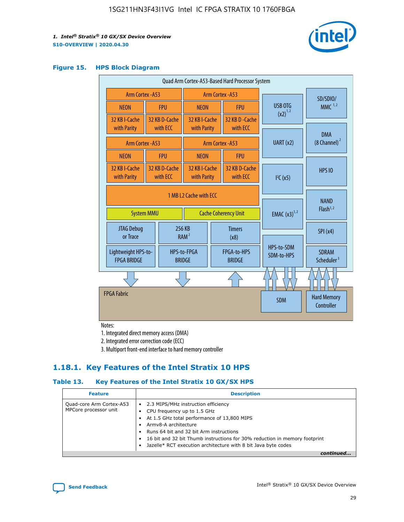

#### **Figure 15. HPS Block Diagram**

| Quad Arm Cortex-A53-Based Hard Processor System                            |  |                           |                              |                                     |                              |                          |                                         |
|----------------------------------------------------------------------------|--|---------------------------|------------------------------|-------------------------------------|------------------------------|--------------------------|-----------------------------------------|
| <b>Arm Cortex - A53</b>                                                    |  |                           | Arm Cortex - A53             |                                     |                              | SD/SDIO/                 |                                         |
| <b>NEON</b>                                                                |  | <b>FPU</b>                | <b>NEON</b>                  |                                     | <b>FPU</b>                   | USB OTG                  | $MMC$ <sup>1,2</sup>                    |
| 32 KB I-Cache                                                              |  | 32 KB D-Cache<br>with ECC | 32 KB I-Cache                |                                     | 32 KB D - Cache<br>with ECC  | $(x2)^{1,2}$             |                                         |
| with Parity                                                                |  |                           | with Parity                  |                                     |                              |                          | <b>DMA</b>                              |
| Arm Cortex - A53                                                           |  |                           |                              |                                     | Arm Cortex - A53             | UART (x2)                | $(8$ Channel) $^2$                      |
| <b>NEON</b>                                                                |  | <b>FPU</b>                | <b>NEON</b>                  |                                     | <b>FPU</b>                   |                          |                                         |
| 32 KB I-Cache<br>with Parity                                               |  | 32 KB D-Cache<br>with ECC | 32 KB I-Cache<br>with Parity |                                     | 32 KB D-Cache<br>with ECC    | I <sup>2</sup> C(x5)     | <b>HPS 10</b>                           |
| 1 MB L2 Cache with ECC<br><b>System MMU</b><br><b>Cache Coherency Unit</b> |  |                           | <b>EMAC</b> $(x3)^{1,2}$     | <b>NAND</b><br>Flash <sup>1,2</sup> |                              |                          |                                         |
| JTAG Debug<br>or Trace                                                     |  |                           | 256 KB<br>RAM <sup>2</sup>   |                                     | <b>Timers</b><br>(x8)        |                          | SPI(x4)                                 |
| Lightweight HPS-to-<br><b>FPGA BRIDGE</b>                                  |  |                           | HPS-to-FPGA<br><b>BRIDGE</b> |                                     | FPGA-to-HPS<br><b>BRIDGE</b> | HPS-to-SDM<br>SDM-to-HPS | <b>SDRAM</b><br>Scheduler <sup>3</sup>  |
|                                                                            |  |                           |                              |                                     |                              |                          |                                         |
| <b>FPGA Fabric</b>                                                         |  |                           |                              |                                     |                              | <b>SDM</b>               | <b>Hard Memory</b><br><b>Controller</b> |

Notes:

1. Integrated direct memory access (DMA)

2. Integrated error correction code (ECC)

3. Multiport front-end interface to hard memory controller

## **1.18.1. Key Features of the Intel Stratix 10 HPS**

## **Table 13. Key Features of the Intel Stratix 10 GX/SX HPS**

| <b>Feature</b>                                    | <b>Description</b>                                                                                                                                                                                                                                                                                                                                     |
|---------------------------------------------------|--------------------------------------------------------------------------------------------------------------------------------------------------------------------------------------------------------------------------------------------------------------------------------------------------------------------------------------------------------|
| Quad-core Arm Cortex-A53<br>MPCore processor unit | 2.3 MIPS/MHz instruction efficiency<br>$\bullet$<br>CPU frequency up to 1.5 GHz<br>٠<br>At 1.5 GHz total performance of 13,800 MIPS<br>Army8-A architecture<br>Runs 64 bit and 32 bit Arm instructions<br>16 bit and 32 bit Thumb instructions for 30% reduction in memory footprint<br>Jazelle* RCT execution architecture with 8 bit Java byte codes |
|                                                   |                                                                                                                                                                                                                                                                                                                                                        |

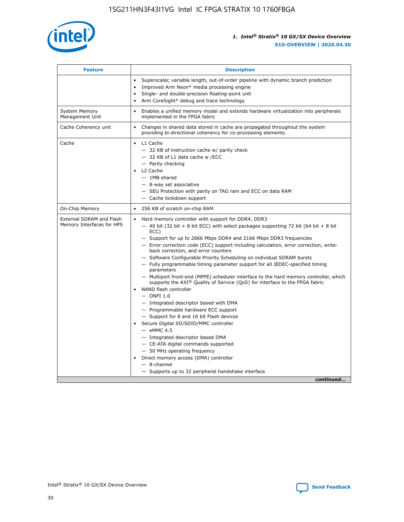

| <b>Feature</b>                                        | <b>Description</b>                                                                                                                                                                                                                                                                                                                                                                                                                                                                                                                                                                                                                                                                                                                                                                                                                                                                                                                                                                                                                                                                                                                                                                                                     |
|-------------------------------------------------------|------------------------------------------------------------------------------------------------------------------------------------------------------------------------------------------------------------------------------------------------------------------------------------------------------------------------------------------------------------------------------------------------------------------------------------------------------------------------------------------------------------------------------------------------------------------------------------------------------------------------------------------------------------------------------------------------------------------------------------------------------------------------------------------------------------------------------------------------------------------------------------------------------------------------------------------------------------------------------------------------------------------------------------------------------------------------------------------------------------------------------------------------------------------------------------------------------------------------|
|                                                       | Superscalar, variable length, out-of-order pipeline with dynamic branch prediction<br>Improved Arm Neon* media processing engine<br>$\bullet$<br>Single- and double-precision floating-point unit<br>Arm CoreSight* debug and trace technology<br>$\bullet$                                                                                                                                                                                                                                                                                                                                                                                                                                                                                                                                                                                                                                                                                                                                                                                                                                                                                                                                                            |
| <b>System Memory</b><br>Management Unit               | Enables a unified memory model and extends hardware virtualization into peripherals<br>$\bullet$<br>implemented in the FPGA fabric                                                                                                                                                                                                                                                                                                                                                                                                                                                                                                                                                                                                                                                                                                                                                                                                                                                                                                                                                                                                                                                                                     |
| Cache Coherency unit                                  | $\bullet$<br>Changes in shared data stored in cache are propagated throughout the system<br>providing bi-directional coherency for co-processing elements.                                                                                                                                                                                                                                                                                                                                                                                                                                                                                                                                                                                                                                                                                                                                                                                                                                                                                                                                                                                                                                                             |
| Cache                                                 | L1 Cache<br>$\bullet$<br>- 32 KB of instruction cache w/ parity check<br>- 32 KB of L1 data cache w /ECC<br>- Parity checking<br>L2 Cache<br>$-$ 1MB shared<br>- 8-way set associative<br>- SEU Protection with parity on TAG ram and ECC on data RAM<br>- Cache lockdown support                                                                                                                                                                                                                                                                                                                                                                                                                                                                                                                                                                                                                                                                                                                                                                                                                                                                                                                                      |
| On-Chip Memory                                        | 256 KB of scratch on-chip RAM<br>$\bullet$                                                                                                                                                                                                                                                                                                                                                                                                                                                                                                                                                                                                                                                                                                                                                                                                                                                                                                                                                                                                                                                                                                                                                                             |
| External SDRAM and Flash<br>Memory Interfaces for HPS | Hard memory controller with support for DDR4, DDR3<br>$\bullet$<br>$-$ 40 bit (32 bit + 8 bit ECC) with select packages supporting 72 bit (64 bit + 8 bit<br>ECC)<br>- Support for up to 2666 Mbps DDR4 and 2166 Mbps DDR3 frequencies<br>- Error correction code (ECC) support including calculation, error correction, write-<br>back correction, and error counters<br>- Software Configurable Priority Scheduling on individual SDRAM bursts<br>- Fully programmable timing parameter support for all JEDEC-specified timing<br>parameters<br>- Multiport front-end (MPFE) scheduler interface to the hard memory controller, which<br>supports the $AXI^{\circledR}$ Quality of Service (QoS) for interface to the FPGA fabric<br>NAND flash controller<br>$-$ ONFI 1.0<br>- Integrated descriptor based with DMA<br>- Programmable hardware ECC support<br>- Support for 8 and 16 bit Flash devices<br>Secure Digital SD/SDIO/MMC controller<br>$-$ eMMC 4.5<br>- Integrated descriptor based DMA<br>- CE-ATA digital commands supported<br>- 50 MHz operating frequency<br>Direct memory access (DMA) controller<br>$\bullet$<br>- 8-channel<br>- Supports up to 32 peripheral handshake interface<br>continued |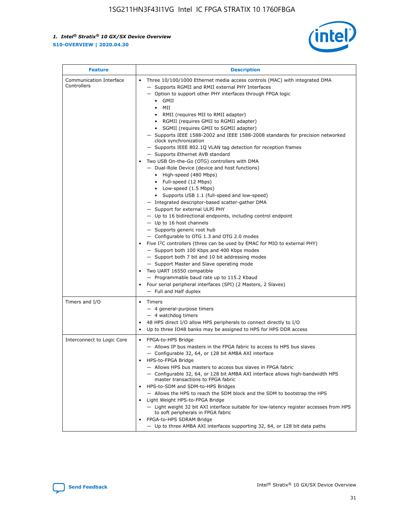

| <b>Feature</b>                         | <b>Description</b>                                                                                                                                                                                                                                                                                                                                                                                                                                                                                                                                                                                                                                                                                                                                                                                                                                                                                                                                                                                                                                                                                                                                                                                                                                                                                                                                                                                                                                                                                          |  |  |  |
|----------------------------------------|-------------------------------------------------------------------------------------------------------------------------------------------------------------------------------------------------------------------------------------------------------------------------------------------------------------------------------------------------------------------------------------------------------------------------------------------------------------------------------------------------------------------------------------------------------------------------------------------------------------------------------------------------------------------------------------------------------------------------------------------------------------------------------------------------------------------------------------------------------------------------------------------------------------------------------------------------------------------------------------------------------------------------------------------------------------------------------------------------------------------------------------------------------------------------------------------------------------------------------------------------------------------------------------------------------------------------------------------------------------------------------------------------------------------------------------------------------------------------------------------------------------|--|--|--|
| Communication Interface<br>Controllers | Three 10/100/1000 Ethernet media access controls (MAC) with integrated DMA<br>- Supports RGMII and RMII external PHY Interfaces<br>- Option to support other PHY interfaces through FPGA logic<br>$\bullet$ GMII<br>MII<br>$\bullet$<br>RMII (requires MII to RMII adapter)<br>• RGMII (requires GMII to RGMII adapter)<br>• SGMII (requires GMII to SGMII adapter)<br>- Supports IEEE 1588-2002 and IEEE 1588-2008 standards for precision networked<br>clock synchronization<br>- Supports IEEE 802.1Q VLAN tag detection for reception frames<br>- Supports Ethernet AVB standard<br>Two USB On-the-Go (OTG) controllers with DMA<br>- Dual-Role Device (device and host functions)<br>• High-speed (480 Mbps)<br>• Full-speed (12 Mbps)<br>• Low-speed (1.5 Mbps)<br>• Supports USB 1.1 (full-speed and low-speed)<br>- Integrated descriptor-based scatter-gather DMA<br>- Support for external ULPI PHY<br>- Up to 16 bidirectional endpoints, including control endpoint<br>$-$ Up to 16 host channels<br>- Supports generic root hub<br>- Configurable to OTG 1.3 and OTG 2.0 modes<br>Five I <sup>2</sup> C controllers (three can be used by EMAC for MIO to external PHY)<br>- Support both 100 Kbps and 400 Kbps modes<br>- Support both 7 bit and 10 bit addressing modes<br>- Support Master and Slave operating mode<br>Two UART 16550 compatible<br>- Programmable baud rate up to 115.2 Kbaud<br>• Four serial peripheral interfaces (SPI) (2 Masters, 2 Slaves)<br>- Full and Half duplex |  |  |  |
| Timers and I/O                         | • Timers<br>- 4 general-purpose timers<br>$-4$ watchdog timers<br>48 HPS direct I/O allow HPS peripherals to connect directly to I/O<br>Up to three IO48 banks may be assigned to HPS for HPS DDR access                                                                                                                                                                                                                                                                                                                                                                                                                                                                                                                                                                                                                                                                                                                                                                                                                                                                                                                                                                                                                                                                                                                                                                                                                                                                                                    |  |  |  |
| Interconnect to Logic Core             | • FPGA-to-HPS Bridge<br>- Allows IP bus masters in the FPGA fabric to access to HPS bus slaves<br>- Configurable 32, 64, or 128 bit AMBA AXI interface<br>HPS-to-FPGA Bridge<br>- Allows HPS bus masters to access bus slaves in FPGA fabric<br>- Configurable 32, 64, or 128 bit AMBA AXI interface allows high-bandwidth HPS<br>master transactions to FPGA fabric<br>HPS-to-SDM and SDM-to-HPS Bridges<br>- Allows the HPS to reach the SDM block and the SDM to bootstrap the HPS<br>Light Weight HPS-to-FPGA Bridge<br>- Light weight 32 bit AXI interface suitable for low-latency register accesses from HPS<br>to soft peripherals in FPGA fabric<br>FPGA-to-HPS SDRAM Bridge<br>- Up to three AMBA AXI interfaces supporting 32, 64, or 128 bit data paths                                                                                                                                                                                                                                                                                                                                                                                                                                                                                                                                                                                                                                                                                                                                         |  |  |  |

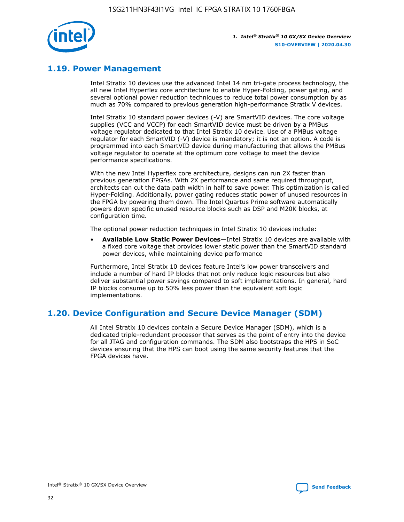

## **1.19. Power Management**

Intel Stratix 10 devices use the advanced Intel 14 nm tri-gate process technology, the all new Intel Hyperflex core architecture to enable Hyper-Folding, power gating, and several optional power reduction techniques to reduce total power consumption by as much as 70% compared to previous generation high-performance Stratix V devices.

Intel Stratix 10 standard power devices (-V) are SmartVID devices. The core voltage supplies (VCC and VCCP) for each SmartVID device must be driven by a PMBus voltage regulator dedicated to that Intel Stratix 10 device. Use of a PMBus voltage regulator for each SmartVID (-V) device is mandatory; it is not an option. A code is programmed into each SmartVID device during manufacturing that allows the PMBus voltage regulator to operate at the optimum core voltage to meet the device performance specifications.

With the new Intel Hyperflex core architecture, designs can run 2X faster than previous generation FPGAs. With 2X performance and same required throughput, architects can cut the data path width in half to save power. This optimization is called Hyper-Folding. Additionally, power gating reduces static power of unused resources in the FPGA by powering them down. The Intel Quartus Prime software automatically powers down specific unused resource blocks such as DSP and M20K blocks, at configuration time.

The optional power reduction techniques in Intel Stratix 10 devices include:

• **Available Low Static Power Devices**—Intel Stratix 10 devices are available with a fixed core voltage that provides lower static power than the SmartVID standard power devices, while maintaining device performance

Furthermore, Intel Stratix 10 devices feature Intel's low power transceivers and include a number of hard IP blocks that not only reduce logic resources but also deliver substantial power savings compared to soft implementations. In general, hard IP blocks consume up to 50% less power than the equivalent soft logic implementations.

## **1.20. Device Configuration and Secure Device Manager (SDM)**

All Intel Stratix 10 devices contain a Secure Device Manager (SDM), which is a dedicated triple-redundant processor that serves as the point of entry into the device for all JTAG and configuration commands. The SDM also bootstraps the HPS in SoC devices ensuring that the HPS can boot using the same security features that the FPGA devices have.

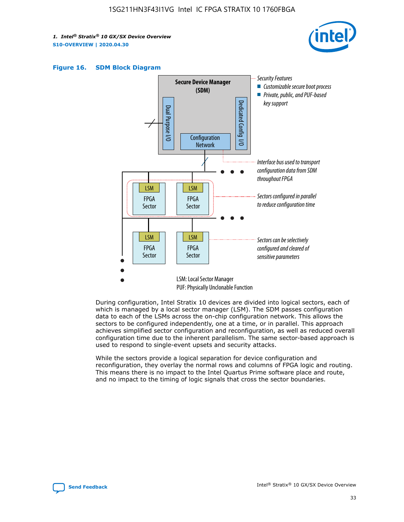





During configuration, Intel Stratix 10 devices are divided into logical sectors, each of which is managed by a local sector manager (LSM). The SDM passes configuration data to each of the LSMs across the on-chip configuration network. This allows the sectors to be configured independently, one at a time, or in parallel. This approach achieves simplified sector configuration and reconfiguration, as well as reduced overall configuration time due to the inherent parallelism. The same sector-based approach is used to respond to single-event upsets and security attacks.

While the sectors provide a logical separation for device configuration and reconfiguration, they overlay the normal rows and columns of FPGA logic and routing. This means there is no impact to the Intel Quartus Prime software place and route, and no impact to the timing of logic signals that cross the sector boundaries.

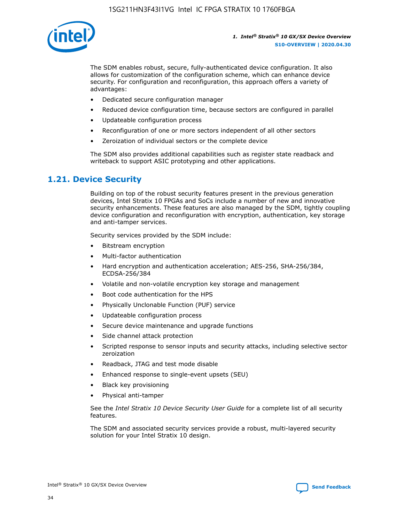

The SDM enables robust, secure, fully-authenticated device configuration. It also allows for customization of the configuration scheme, which can enhance device security. For configuration and reconfiguration, this approach offers a variety of advantages:

- Dedicated secure configuration manager
- Reduced device configuration time, because sectors are configured in parallel
- Updateable configuration process
- Reconfiguration of one or more sectors independent of all other sectors
- Zeroization of individual sectors or the complete device

The SDM also provides additional capabilities such as register state readback and writeback to support ASIC prototyping and other applications.

## **1.21. Device Security**

Building on top of the robust security features present in the previous generation devices, Intel Stratix 10 FPGAs and SoCs include a number of new and innovative security enhancements. These features are also managed by the SDM, tightly coupling device configuration and reconfiguration with encryption, authentication, key storage and anti-tamper services.

Security services provided by the SDM include:

- Bitstream encryption
- Multi-factor authentication
- Hard encryption and authentication acceleration; AES-256, SHA-256/384, ECDSA-256/384
- Volatile and non-volatile encryption key storage and management
- Boot code authentication for the HPS
- Physically Unclonable Function (PUF) service
- Updateable configuration process
- Secure device maintenance and upgrade functions
- Side channel attack protection
- Scripted response to sensor inputs and security attacks, including selective sector zeroization
- Readback, JTAG and test mode disable
- Enhanced response to single-event upsets (SEU)
- Black key provisioning
- Physical anti-tamper

See the *Intel Stratix 10 Device Security User Guide* for a complete list of all security features.

The SDM and associated security services provide a robust, multi-layered security solution for your Intel Stratix 10 design.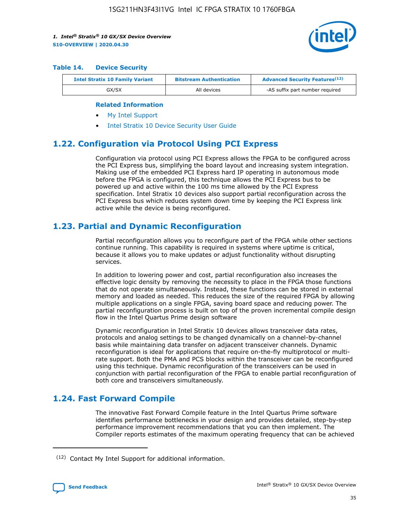

#### **Table 14. Device Security**

| <b>Intel Stratix 10 Family Variant</b> | <b>Bitstream Authentication</b> | <b>Advanced Security Features</b> <sup>(12)</sup> |
|----------------------------------------|---------------------------------|---------------------------------------------------|
| GX/SX                                  | All devices                     | -AS suffix part number required                   |

#### **Related Information**

- [My Intel Support](https://www.intel.com/content/www/us/en/programmable/my-intel/mal-home.html)
- [Intel Stratix 10 Device Security User Guide](https://www.intel.com/content/www/us/en/programmable/documentation/ndq1483601370898.html#wcd1483611014402)

## **1.22. Configuration via Protocol Using PCI Express**

Configuration via protocol using PCI Express allows the FPGA to be configured across the PCI Express bus, simplifying the board layout and increasing system integration. Making use of the embedded PCI Express hard IP operating in autonomous mode before the FPGA is configured, this technique allows the PCI Express bus to be powered up and active within the 100 ms time allowed by the PCI Express specification. Intel Stratix 10 devices also support partial reconfiguration across the PCI Express bus which reduces system down time by keeping the PCI Express link active while the device is being reconfigured.

## **1.23. Partial and Dynamic Reconfiguration**

Partial reconfiguration allows you to reconfigure part of the FPGA while other sections continue running. This capability is required in systems where uptime is critical, because it allows you to make updates or adjust functionality without disrupting services.

In addition to lowering power and cost, partial reconfiguration also increases the effective logic density by removing the necessity to place in the FPGA those functions that do not operate simultaneously. Instead, these functions can be stored in external memory and loaded as needed. This reduces the size of the required FPGA by allowing multiple applications on a single FPGA, saving board space and reducing power. The partial reconfiguration process is built on top of the proven incremental compile design flow in the Intel Quartus Prime design software

Dynamic reconfiguration in Intel Stratix 10 devices allows transceiver data rates, protocols and analog settings to be changed dynamically on a channel-by-channel basis while maintaining data transfer on adjacent transceiver channels. Dynamic reconfiguration is ideal for applications that require on-the-fly multiprotocol or multirate support. Both the PMA and PCS blocks within the transceiver can be reconfigured using this technique. Dynamic reconfiguration of the transceivers can be used in conjunction with partial reconfiguration of the FPGA to enable partial reconfiguration of both core and transceivers simultaneously.

## **1.24. Fast Forward Compile**

The innovative Fast Forward Compile feature in the Intel Quartus Prime software identifies performance bottlenecks in your design and provides detailed, step-by-step performance improvement recommendations that you can then implement. The Compiler reports estimates of the maximum operating frequency that can be achieved

<sup>(12)</sup> Contact My Intel Support for additional information.

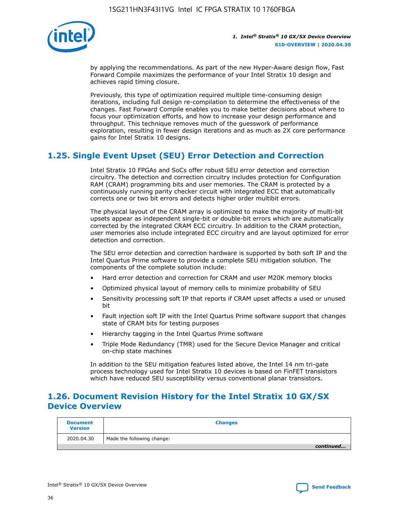

by applying the recommendations. As part of the new Hyper-Aware design flow, Fast Forward Compile maximizes the performance of your Intel Stratix 10 design and achieves rapid timing closure.

Previously, this type of optimization required multiple time-consuming design iterations, including full design re-compilation to determine the effectiveness of the changes. Fast Forward Compile enables you to make better decisions about where to focus your optimization efforts, and how to increase your design performance and throughput. This technique removes much of the guesswork of performance exploration, resulting in fewer design iterations and as much as 2X core performance gains for Intel Stratix 10 designs.

## **1.25. Single Event Upset (SEU) Error Detection and Correction**

Intel Stratix 10 FPGAs and SoCs offer robust SEU error detection and correction circuitry. The detection and correction circuitry includes protection for Configuration RAM (CRAM) programming bits and user memories. The CRAM is protected by a continuously running parity checker circuit with integrated ECC that automatically corrects one or two bit errors and detects higher order multibit errors.

The physical layout of the CRAM array is optimized to make the majority of multi-bit upsets appear as independent single-bit or double-bit errors which are automatically corrected by the integrated CRAM ECC circuitry. In addition to the CRAM protection, user memories also include integrated ECC circuitry and are layout optimized for error detection and correction.

The SEU error detection and correction hardware is supported by both soft IP and the Intel Quartus Prime software to provide a complete SEU mitigation solution. The components of the complete solution include:

- Hard error detection and correction for CRAM and user M20K memory blocks
- Optimized physical layout of memory cells to minimize probability of SEU
- Sensitivity processing soft IP that reports if CRAM upset affects a used or unused bit
- Fault injection soft IP with the Intel Quartus Prime software support that changes state of CRAM bits for testing purposes
- Hierarchy tagging in the Intel Quartus Prime software
- Triple Mode Redundancy (TMR) used for the Secure Device Manager and critical on-chip state machines

In addition to the SEU mitigation features listed above, the Intel 14 nm tri-gate process technology used for Intel Stratix 10 devices is based on FinFET transistors which have reduced SEU susceptibility versus conventional planar transistors.

## **1.26. Document Revision History for the Intel Stratix 10 GX/SX Device Overview**

| <b>Document</b><br><b>Version</b> | <b>Changes</b>             |
|-----------------------------------|----------------------------|
| 2020.04.30                        | Made the following change: |
|                                   | continued                  |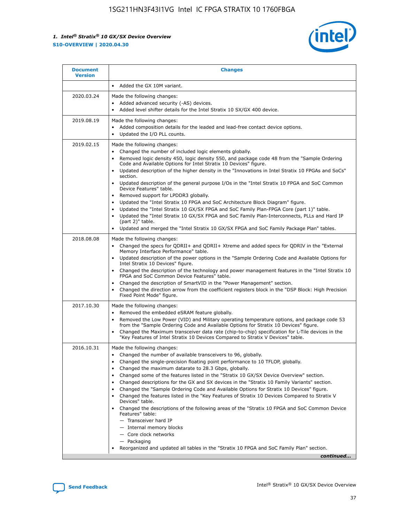

| <b>Document</b><br><b>Version</b> | <b>Changes</b>                                                                                                                                                                                                                                                                                                                                                                                                                                                                                                                                                                                                                                                                                                                                                                                                                                                                                                                                                                                      |
|-----------------------------------|-----------------------------------------------------------------------------------------------------------------------------------------------------------------------------------------------------------------------------------------------------------------------------------------------------------------------------------------------------------------------------------------------------------------------------------------------------------------------------------------------------------------------------------------------------------------------------------------------------------------------------------------------------------------------------------------------------------------------------------------------------------------------------------------------------------------------------------------------------------------------------------------------------------------------------------------------------------------------------------------------------|
|                                   | Added the GX 10M variant.                                                                                                                                                                                                                                                                                                                                                                                                                                                                                                                                                                                                                                                                                                                                                                                                                                                                                                                                                                           |
| 2020.03.24                        | Made the following changes:<br>Added advanced security (-AS) devices.<br>Added level shifter details for the Intel Stratix 10 SX/GX 400 device.                                                                                                                                                                                                                                                                                                                                                                                                                                                                                                                                                                                                                                                                                                                                                                                                                                                     |
| 2019.08.19                        | Made the following changes:<br>Added composition details for the leaded and lead-free contact device options.<br>$\bullet$<br>Updated the I/O PLL counts.                                                                                                                                                                                                                                                                                                                                                                                                                                                                                                                                                                                                                                                                                                                                                                                                                                           |
| 2019.02.15                        | Made the following changes:<br>Changed the number of included logic elements globally.<br>$\bullet$<br>Removed logic density 450, logic density 550, and package code 48 from the "Sample Ordering<br>$\bullet$<br>Code and Available Options for Intel Stratix 10 Devices" figure.<br>Updated description of the higher density in the "Innovations in Intel Stratix 10 FPGAs and SoCs"<br>section.<br>Updated description of the general purpose I/Os in the "Intel Stratix 10 FPGA and SoC Common<br>$\bullet$<br>Device Features" table.<br>Removed support for LPDDR3 globally.<br>Updated the "Intel Stratix 10 FPGA and SoC Architecture Block Diagram" figure.<br>$\bullet$<br>Updated the "Intel Stratix 10 GX/SX FPGA and SoC Family Plan-FPGA Core (part 1)" table.<br>٠<br>Updated the "Intel Stratix 10 GX/SX FPGA and SoC Family Plan-Interconnects, PLLs and Hard IP<br>(part 2)" table.<br>Updated and merged the "Intel Stratix 10 GX/SX FPGA and SoC Family Package Plan" tables. |
| 2018.08.08                        | Made the following changes:<br>Changed the specs for QDRII+ and QDRII+ Xtreme and added specs for QDRIV in the "External<br>$\bullet$<br>Memory Interface Performance" table.<br>Updated description of the power options in the "Sample Ordering Code and Available Options for<br>Intel Stratix 10 Devices" figure.<br>Changed the description of the technology and power management features in the "Intel Stratix 10<br>FPGA and SoC Common Device Features" table.<br>Changed the description of SmartVID in the "Power Management" section.<br>Changed the direction arrow from the coefficient registers block in the "DSP Block: High Precision<br>٠<br>Fixed Point Mode" figure.                                                                                                                                                                                                                                                                                                          |
| 2017.10.30                        | Made the following changes:<br>Removed the embedded eSRAM feature globally.<br>$\bullet$<br>Removed the Low Power (VID) and Military operating temperature options, and package code 53<br>٠<br>from the "Sample Ordering Code and Available Options for Stratix 10 Devices" figure.<br>Changed the Maximum transceiver data rate (chip-to-chip) specification for L-Tile devices in the<br>"Key Features of Intel Stratix 10 Devices Compared to Stratix V Devices" table.                                                                                                                                                                                                                                                                                                                                                                                                                                                                                                                         |
| 2016.10.31                        | Made the following changes:<br>• Changed the number of available transceivers to 96, globally.<br>Changed the single-precision floating point performance to 10 TFLOP, globally.<br>Changed the maximum datarate to 28.3 Gbps, globally.<br>٠<br>Changed some of the features listed in the "Stratix 10 GX/SX Device Overview" section.<br>٠<br>Changed descriptions for the GX and SX devices in the "Stratix 10 Family Variants" section.<br>٠<br>Changed the "Sample Ordering Code and Available Options for Stratix 10 Devices" figure.<br>Changed the features listed in the "Key Features of Stratix 10 Devices Compared to Stratix V<br>Devices" table.<br>Changed the descriptions of the following areas of the "Stratix 10 FPGA and SoC Common Device<br>Features" table:<br>- Transceiver hard IP<br>- Internal memory blocks<br>- Core clock networks<br>- Packaging<br>Reorganized and updated all tables in the "Stratix 10 FPGA and SoC Family Plan" section.                        |
|                                   | continued                                                                                                                                                                                                                                                                                                                                                                                                                                                                                                                                                                                                                                                                                                                                                                                                                                                                                                                                                                                           |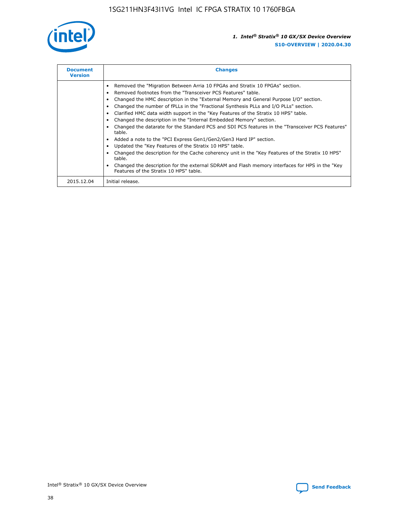

| <b>Document</b><br><b>Version</b> | <b>Changes</b>                                                                                                                                                                                                                                                                                                                                                                                                                                                                                                                                                                                                                                                                                                                                                                                                                                                                                                                                                                                     |
|-----------------------------------|----------------------------------------------------------------------------------------------------------------------------------------------------------------------------------------------------------------------------------------------------------------------------------------------------------------------------------------------------------------------------------------------------------------------------------------------------------------------------------------------------------------------------------------------------------------------------------------------------------------------------------------------------------------------------------------------------------------------------------------------------------------------------------------------------------------------------------------------------------------------------------------------------------------------------------------------------------------------------------------------------|
|                                   | Removed the "Migration Between Arria 10 FPGAs and Stratix 10 FPGAs" section.<br>Removed footnotes from the "Transceiver PCS Features" table.<br>Changed the HMC description in the "External Memory and General Purpose I/O" section.<br>Changed the number of fPLLs in the "Fractional Synthesis PLLs and I/O PLLs" section.<br>Clarified HMC data width support in the "Key Features of the Stratix 10 HPS" table.<br>Changed the description in the "Internal Embedded Memory" section.<br>Changed the datarate for the Standard PCS and SDI PCS features in the "Transceiver PCS Features"<br>table.<br>Added a note to the "PCI Express Gen1/Gen2/Gen3 Hard IP" section.<br>Updated the "Key Features of the Stratix 10 HPS" table.<br>Changed the description for the Cache coherency unit in the "Key Features of the Stratix 10 HPS"<br>table.<br>Changed the description for the external SDRAM and Flash memory interfaces for HPS in the "Key<br>Features of the Stratix 10 HPS" table. |
| 2015.12.04                        | Initial release.                                                                                                                                                                                                                                                                                                                                                                                                                                                                                                                                                                                                                                                                                                                                                                                                                                                                                                                                                                                   |